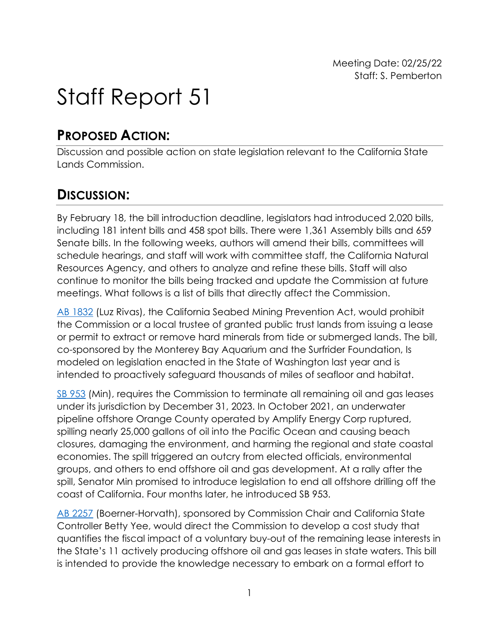# Staff Report 51

## **PROPOSED ACTION:**

Discussion and possible action on state legislation relevant to the California State Lands Commission.

## **DISCUSSION:**

By February 18, the bill introduction deadline, legislators had introduced 2,020 bills, including 181 intent bills and 458 spot bills. There were 1,361 Assembly bills and 659 Senate bills. In the following weeks, authors will amend their bills, committees will schedule hearings, and staff will work with committee staff, the California Natural Resources Agency, and others to analyze and refine these bills. Staff will also continue to monitor the bills being tracked and update the Commission at future meetings. What follows is a list of bills that directly affect the Commission.

[AB 1832](https://leginfo.legislature.ca.gov/faces/billNavClient.xhtml?bill_id=202120220AB1832) (Luz Rivas), the California Seabed Mining Prevention Act, would prohibit the Commission or a local trustee of granted public trust lands from issuing a lease or permit to extract or remove hard minerals from tide or submerged lands. The bill, co-sponsored by the Monterey Bay Aquarium and the Surfrider Foundation, Is modeled on legislation enacted in the State of Washington last year and is intended to proactively safeguard thousands of miles of seafloor and habitat.

[SB 953](https://leginfo.legislature.ca.gov/faces/billNavClient.xhtml?bill_id=202120220AB2257) (Min), requires the Commission to terminate all remaining oil and gas leases under its jurisdiction by December 31, 2023. In October 2021, an underwater pipeline offshore Orange County operated by Amplify Energy Corp ruptured, spilling nearly 25,000 gallons of oil into the Pacific Ocean and causing beach closures, damaging the environment, and harming the regional and state coastal economies. The spill triggered an outcry from elected officials, environmental groups, and others to end offshore oil and gas development. At a rally after the spill, Senator Min promised to introduce legislation to end all offshore drilling off the coast of California. Four months later, he introduced SB 953.

[AB 2257](https://leginfo.legislature.ca.gov/faces/billNavClient.xhtml?bill_id=202120220AB2257) (Boerner-Horvath), sponsored by Commission Chair and California State Controller Betty Yee, would direct the Commission to develop a cost study that quantifies the fiscal impact of a voluntary buy-out of the remaining lease interests in the State's 11 actively producing offshore oil and gas leases in state waters. This bill is intended to provide the knowledge necessary to embark on a formal effort to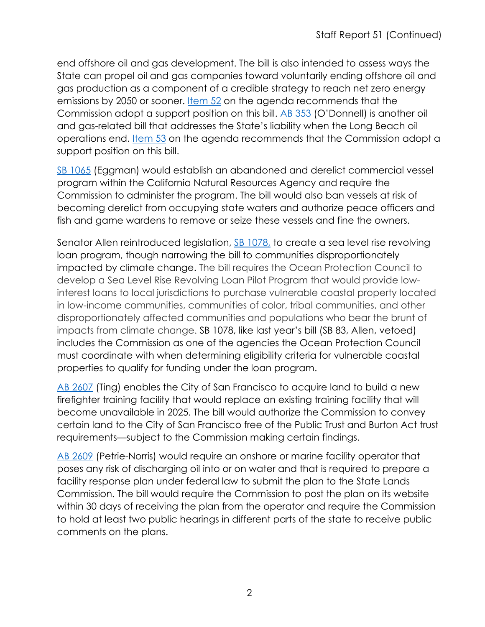end offshore oil and gas development. The bill is also intended to assess ways the State can propel oil and gas companies toward voluntarily ending offshore oil and gas production as a component of a credible strategy to reach net zero energy emissions by 2050 or sooner. [Item 52](https://slcprdwordpressstorage.blob.core.windows.net/wordpressdata/2022/02/02-25-22_52.pdf) on the agenda recommends that the Commission adopt a support position on this bill. [AB 353](https://slcprdwordpressstorage.blob.core.windows.net/wordpressdata/2022/02/02-25-22_53.pdf) (O'Donnell) is another oil and gas-related bill that addresses the State's liability when the Long Beach oil operations end. [Item 53](https://slcprdwordpressstorage.blob.core.windows.net/wordpressdata/2022/02/02-25-22_53.pdf) on the agenda recommends that the Commission adopt a support position on this bill.

[SB 1065](https://leginfo.legislature.ca.gov/faces/billNavClient.xhtml?bill_id=202120220SB1065) (Eggman) would establish an abandoned and derelict commercial vessel program within the California Natural Resources Agency and require the Commission to administer the program. The bill would also ban vessels at risk of becoming derelict from occupying state waters and authorize peace officers and fish and game wardens to remove or seize these vessels and fine the owners.

Senator Allen reintroduced legislation, [SB 1078,](file:///%5C%5Cazfs01%5CEAD%5CCalendar%5C2022%20Commission%20Meetings%5C02-25%20meeting%5Cleg%20update%5CThe%20council,%20in%20consultation%20with%20the%20conservancy,%20shall%20develop%20the%20Sea%20Level%20Rise%20Revolving%20Loan%20Pilot%20Program.%20The%20program%20shall%20provide%20low-interest%20loans%20to%20local%20jurisdictions%20for%20the%20purchase%20of%20coastal%20properties%20in%20their%20jurisdictions%20identified%20as%20vulnerable%20coastal%20property%20located%20in%20low-income%20communities,%20communities%20of%20color,%20tribal%20communities,%20and%20other%20disproportionately%20affected%20https:%5Cleginfo.legislature.ca.gov%5Cfaces%5CbillNavClient.xhtml?bill_id=202120220SB1078) to create a sea level rise revolving loan program, though narrowing the bill to communities disproportionately impacted by climate change. The bill requires the Ocean Protection Council to develop a Sea Level Rise Revolving Loan Pilot Program that would provide lowinterest loans to local jurisdictions to purchase vulnerable coastal property located in low-income communities, communities of color, tribal communities, and other disproportionately affected communities and populations who bear the brunt of impacts from climate change. SB 1078, like last year's bill (SB 83, Allen, vetoed) includes the Commission as one of the agencies the Ocean Protection Council must coordinate with when determining eligibility criteria for vulnerable coastal properties to qualify for funding under the loan program.

[AB 2607](https://leginfo.legislature.ca.gov/faces/billNavClient.xhtml?bill_id=202120220AB2607) (Ting) enables the City of San Francisco to acquire land to build a new firefighter training facility that would replace an existing training facility that will become unavailable in 2025. The bill would authorize the Commission to convey certain land to the City of San Francisco free of the Public Trust and Burton Act trust requirements—subject to the Commission making certain findings.

[AB 2609](https://leginfo.legislature.ca.gov/faces/billNavClient.xhtml?bill_id=202120220AB2609) (Petrie-Norris) would require an onshore or marine facility operator that poses any risk of discharging oil into or on water and that is required to prepare a facility response plan under federal law to submit the plan to the State Lands Commission. The bill would require the Commission to post the plan on its website within 30 days of receiving the plan from the operator and require the Commission to hold at least two public hearings in different parts of the state to receive public comments on the plans.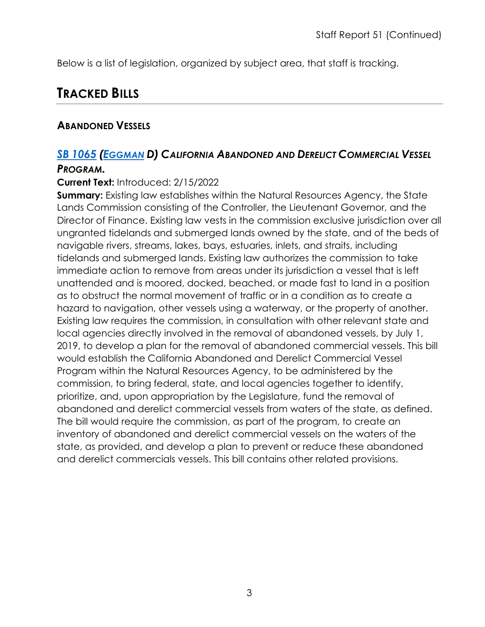Below is a list of legislation, organized by subject area, that staff is tracking.

## **TRACKED BILLS**

## **ABANDONED VESSELS**

## *SB [1065](https://ctweb.capitoltrack.com/public/publishbillinfo.aspx?bi=O8tbMamLZsqcWfmnfJSLzfg5hRv7W51gXT1JinUqjEKZ0%2F3XBwgfSOUefA1zPNYR) [\(EGGMAN](http://sd05.senate.ca.gov/) D) CALIFORNIA ABANDONED AND DERELICT COMMERCIAL VESSEL*

#### *PROGRAM.*

#### **Current Text:** Introduced: 2/15/2022

**Summary:** Existing law establishes within the Natural Resources Agency, the State Lands Commission consisting of the Controller, the Lieutenant Governor, and the Director of Finance. Existing law vests in the commission exclusive jurisdiction over all ungranted tidelands and submerged lands owned by the state, and of the beds of navigable rivers, streams, lakes, bays, estuaries, inlets, and straits, including tidelands and submerged lands. Existing law authorizes the commission to take immediate action to remove from areas under its jurisdiction a vessel that is left unattended and is moored, docked, beached, or made fast to land in a position as to obstruct the normal movement of traffic or in a condition as to create a hazard to navigation, other vessels using a waterway, or the property of another. Existing law requires the commission, in consultation with other relevant state and local agencies directly involved in the removal of abandoned vessels, by July 1, 2019, to develop a plan for the removal of abandoned commercial vessels. This bill would establish the California Abandoned and Derelict Commercial Vessel Program within the Natural Resources Agency, to be administered by the commission, to bring federal, state, and local agencies together to identify, prioritize, and, upon appropriation by the Legislature, fund the removal of abandoned and derelict commercial vessels from waters of the state, as defined. The bill would require the commission, as part of the program, to create an inventory of abandoned and derelict commercial vessels on the waters of the state, as provided, and develop a plan to prevent or reduce these abandoned and derelict commercials vessels. This bill contains other related provisions.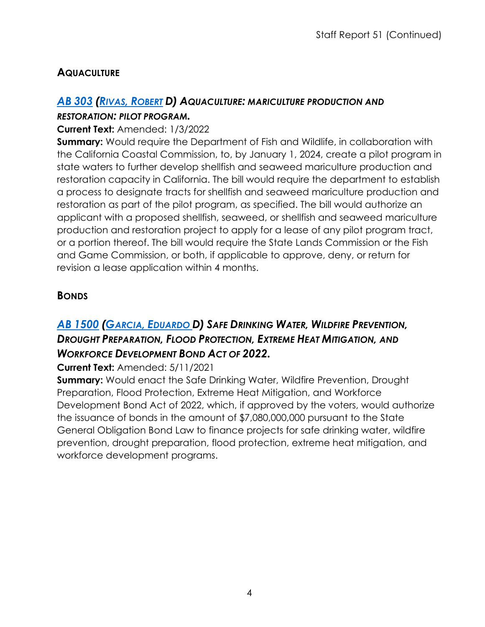## **AQUACULTURE**

#### *AB [303](https://ctweb.capitoltrack.com/public/publishbillinfo.aspx?bi=9K9tpeaEBpO12wllqqe2bwGVUcu8jIfGePv4d907WxcQ7CtkcuZ5PSlyu7FXAHyU) (RIVAS, [ROBERT](https://a30.asmdc.org/) D) AQUACULTURE: MARICULTURE PRODUCTION AND RESTORATION: PILOT PROGRAM.*

#### **Current Text:** Amended: 1/3/2022

**Summary:** Would require the Department of Fish and Wildlife, in collaboration with the California Coastal Commission, to, by January 1, 2024, create a pilot program in state waters to further develop shellfish and seaweed mariculture production and restoration capacity in California. The bill would require the department to establish a process to designate tracts for shellfish and seaweed mariculture production and restoration as part of the pilot program, as specified. The bill would authorize an applicant with a proposed shellfish, seaweed, or shellfish and seaweed mariculture production and restoration project to apply for a lease of any pilot program tract, or a portion thereof. The bill would require the State Lands Commission or the Fish and Game Commission, or both, if applicable to approve, deny, or return for revision a lease application within 4 months.

## **BONDS**

## *AB [1500](https://ctweb.capitoltrack.com/public/publishbillinfo.aspx?bi=7no3nms2HlPX54sFQhRggp94g4t%2Bz4IvvQKIormAblTl43zBN2JqL9I3P2w3DdX2) (GARCIA, [EDUARDO D](https://a56.asmdc.org/)) SAFE DRINKING WATER, WILDFIRE PREVENTION, DROUGHT PREPARATION, FLOOD PROTECTION, EXTREME HEAT MITIGATION, AND WORKFORCE DEVELOPMENT BOND ACT OF 2022.*

#### **Current Text:** Amended: 5/11/2021

**Summary:** Would enact the Safe Drinking Water, Wildfire Prevention, Drought Preparation, Flood Protection, Extreme Heat Mitigation, and Workforce Development Bond Act of 2022, which, if approved by the voters, would authorize the issuance of bonds in the amount of \$7,080,000,000 pursuant to the State General Obligation Bond Law to finance projects for safe drinking water, wildfire prevention, drought preparation, flood protection, extreme heat mitigation, and workforce development programs.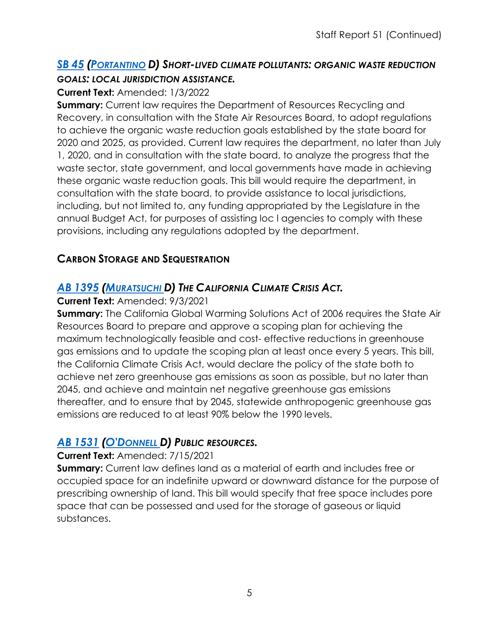## *SB 45 [\(PORTANTINO](http://sd25.senate.ca.gov/) D) SHORT-LIVED CLIMATE POLLUTANTS: ORGANIC WASTE REDUCTION [GOALS](https://ctweb.capitoltrack.com/public/publishbillinfo.aspx?bi=SQkQL4UfBfWNV4jBfAQsqDmmjENhqD6WAu37J4LNZtxU0%2F1qcvo4pVoWzsJ3IJX4): LOCAL JURISDICTION ASSISTANCE.*

#### **Current Text:** Amended: 1/3/2022

**Summary:** Current law requires the Department of Resources Recycling and Recovery, in consultation with the State Air Resources Board, to adopt regulations to achieve the organic waste reduction goals established by the state board for 2020 and 2025, as provided. Current law requires the department, no later than July 1, 2020, and in consultation with the state board, to analyze the progress that the waste sector, state government, and local governments have made in achieving these organic waste reduction goals. This bill would require the department, in consultation with the state board, to provide assistance to local jurisdictions, including, but not limited to, any funding appropriated by the Legislature in the annual Budget Act, for purposes of assisting loc l agencies to comply with these provisions, including any regulations adopted by the department.

## **CARBON STORAGE AND SEQUESTRATION**

## *AB [1395](https://ctweb.capitoltrack.com/public/publishbillinfo.aspx?bi=MkvH%2BboJJyf8ZwyFZAjS7TXBdkF59MeWpDBaQLmza5tg0INctBAvHEicqJPZ%2BqEp) [\(MURATSUCHI D](https://a66.asmdc.org/)) THE CALIFORNIA CLIMATE CRISIS ACT.*

#### **Current Text:** Amended: 9/3/2021

**Summary:** The California Global Warming Solutions Act of 2006 requires the State Air Resources Board to prepare and approve a scoping plan for achieving the maximum technologically feasible and cost- effective reductions in greenhouse gas emissions and to update the scoping plan at least once every 5 years. This bill, the California Climate Crisis Act, would declare the policy of the state both to achieve net zero greenhouse gas emissions as soon as possible, but no later than 2045, and achieve and maintain net negative greenhouse gas emissions thereafter, and to ensure that by 2045, statewide anthropogenic greenhouse gas emissions are reduced to at least 90% below the 1990 levels.

#### *AB [1531](https://ctweb.capitoltrack.com/public/publishbillinfo.aspx?bi=Vf0p4y4S2VZmU5XFoNoPuK4XDcONjc0vRLv55LjU0ihYMdyiXFKx9PGjEemX%2Bjvp) [\(O'DONNELL D](https://a70.asmdc.org/)) PUBLIC RESOURCES.*

#### **Current Text:** Amended: 7/15/2021

**Summary:** Current law defines land as a material of earth and includes free or occupied space for an indefinite upward or downward distance for the purpose of prescribing ownership of land. This bill would specify that free space includes pore space that can be possessed and used for the storage of gaseous or liquid substances.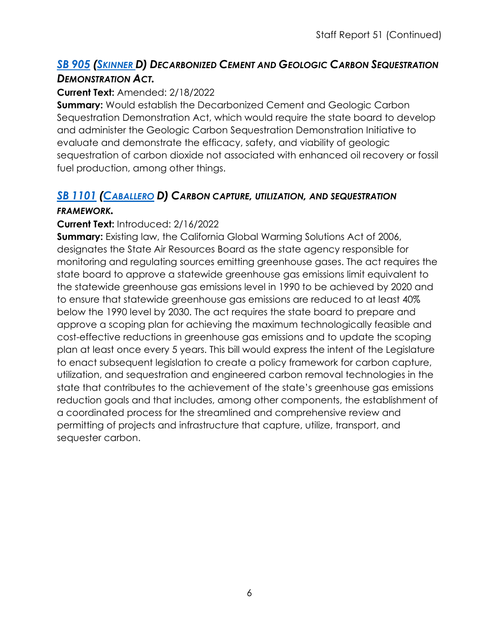## *SB [905](https://ctweb.capitoltrack.com/public/publishbillinfo.aspx?bi=7h%2FRdwSdiIIuDObBDZcomCOODfyDDLMeJYrtpCvFeB0%2BpB%2FUGNPw8dGygzsmeNg7) [\(SKINNER D](http://sd09.senate.ca.gov/)) DECARBONIZED CEMENT AND GEOLOGIC CARBON SEQUESTRATION DEMONSTRATION ACT.*

#### **Current Text:** Amended: 2/18/2022

**Summary:** Would establish the Decarbonized Cement and Geologic Carbon Sequestration Demonstration Act, which would require the state board to develop and administer the Geologic Carbon Sequestration Demonstration Initiative to evaluate and demonstrate the efficacy, safety, and viability of geologic sequestration of carbon dioxide not associated with enhanced oil recovery or fossil fuel production, among other things.

## *SB [1101](https://ctweb.capitoltrack.com/public/publishbillinfo.aspx?bi=A8qSIOoVRQc12C29iyGE5ftxkR7fdTGHn%2F%2BH1wG7lqpzb0qkJbCkMVJH3umOwx5D) [\(CABALLERO](https://sd12.senate.ca.gov/) D) CARBON CAPTURE, UTILIZATION, AND SEQUESTRATION*

#### *FRAMEWORK.*

#### **Current Text:** Introduced: 2/16/2022

**Summary:** Existing law, the California Global Warming Solutions Act of 2006, designates the State Air Resources Board as the state agency responsible for monitoring and regulating sources emitting greenhouse gases. The act requires the state board to approve a statewide greenhouse gas emissions limit equivalent to the statewide greenhouse gas emissions level in 1990 to be achieved by 2020 and to ensure that statewide greenhouse gas emissions are reduced to at least 40% below the 1990 level by 2030. The act requires the state board to prepare and approve a scoping plan for achieving the maximum technologically feasible and cost-effective reductions in greenhouse gas emissions and to update the scoping plan at least once every 5 years. This bill would express the intent of the Legislature to enact subsequent legislation to create a policy framework for carbon capture, utilization, and sequestration and engineered carbon removal technologies in the state that contributes to the achievement of the state's greenhouse gas emissions reduction goals and that includes, among other components, the establishment of a coordinated process for the streamlined and comprehensive review and permitting of projects and infrastructure that capture, utilize, transport, and sequester carbon.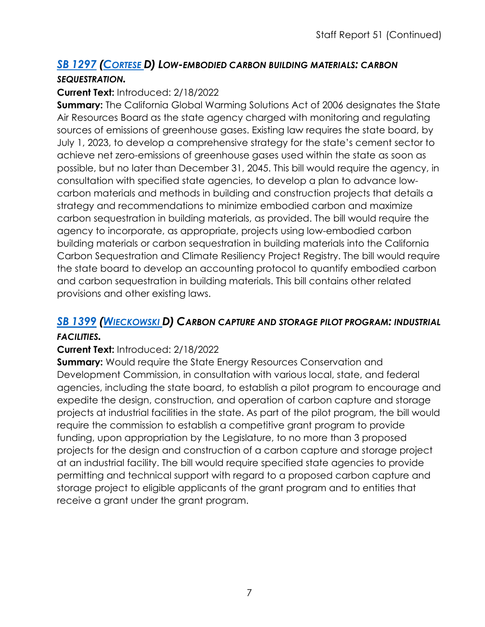## *SB [1297](https://ctweb.capitoltrack.com/public/publishbillinfo.aspx?bi=onSAhSUQaueTBliJGj%2BniGWkcYsJlvtH8wsKNuWE37T1BhcdxfthgYj6uIX9qkgs) [\(CORTESE D](http://sd15.senate.ca.gov/)) LOW-EMBODIED CARBON BUILDING MATERIALS: CARBON SEQUESTRATION.*

#### **Current Text:** Introduced: 2/18/2022

**Summary:** The California Global Warming Solutions Act of 2006 designates the State Air Resources Board as the state agency charged with monitoring and regulating sources of emissions of greenhouse gases. Existing law requires the state board, by July 1, 2023, to develop a comprehensive strategy for the state's cement sector to achieve net zero-emissions of greenhouse gases used within the state as soon as possible, but no later than December 31, 2045. This bill would require the agency, in consultation with specified state agencies, to develop a plan to advance lowcarbon materials and methods in building and construction projects that details a strategy and recommendations to minimize embodied carbon and maximize carbon sequestration in building materials, as provided. The bill would require the agency to incorporate, as appropriate, projects using low-embodied carbon building materials or carbon sequestration in building materials into the California Carbon Sequestration and Climate Resiliency Project Registry. The bill would require the state board to develop an accounting protocol to quantify embodied carbon and carbon sequestration in building materials. This bill contains other related provisions and other existing laws.

## *SB [1399](https://ctweb.capitoltrack.com/public/publishbillinfo.aspx?bi=AEk8aSQogHdTB%2BXfWXwnk2I1%2FroKowCjSfW%2FbCb5fNKbmF4hLcBN65vmvvCYXm1H) [\(WIECKOWSKI D](http://sd10.senate.ca.gov/)) CARBON CAPTURE AND STORAGE PILOT PROGRAM: INDUSTRIAL*

#### *FACILITIES.*

#### **Current Text:** Introduced: 2/18/2022

**Summary:** Would require the State Energy Resources Conservation and Development Commission, in consultation with various local, state, and federal agencies, including the state board, to establish a pilot program to encourage and expedite the design, construction, and operation of carbon capture and storage projects at industrial facilities in the state. As part of the pilot program, the bill would require the commission to establish a competitive grant program to provide funding, upon appropriation by the Legislature, to no more than 3 proposed projects for the design and construction of a carbon capture and storage project at an industrial facility. The bill would require specified state agencies to provide permitting and technical support with regard to a proposed carbon capture and storage project to eligible applicants of the grant program and to entities that receive a grant under the grant program.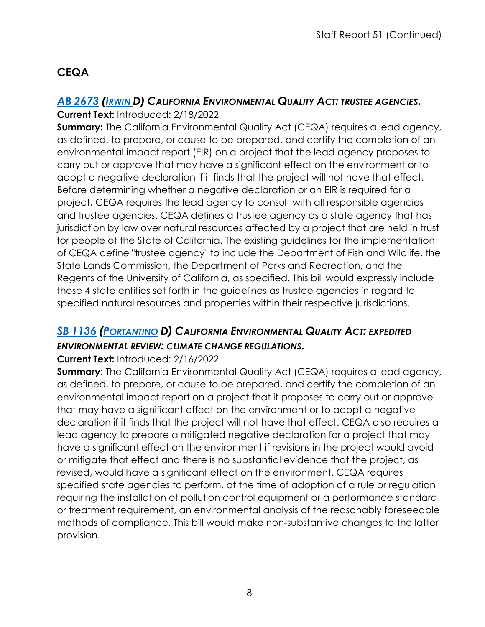## **CEQA**

## *AB [2673](https://ctweb.capitoltrack.com/public/publishbillinfo.aspx?bi=FG5ZKrbvXlugJzwV%2BdITi7FHdi%2BIcvAZUnttgUiCHNOiXKVTEhG1Urg7qCOtI00b) [\(IRWIN D](https://a44.asmdc.org/)) CALIFORNIA ENVIRONMENTAL QUALITY ACT: TRUSTEE AGENCIES.*

#### **Current Text:** Introduced: 2/18/2022

**Summary:** The California Environmental Quality Act (CEQA) requires a lead agency, as defined, to prepare, or cause to be prepared, and certify the completion of an environmental impact report (EIR) on a project that the lead agency proposes to carry out or approve that may have a significant effect on the environment or to adopt a negative declaration if it finds that the project will not have that effect. Before determining whether a negative declaration or an EIR is required for a project, CEQA requires the lead agency to consult with all responsible agencies and trustee agencies. CEQA defines a trustee agency as a state agency that has jurisdiction by law over natural resources affected by a project that are held in trust for people of the State of California. The existing guidelines for the implementation of CEQA define "trustee agency" to include the Department of Fish and Wildlife, the State Lands Commission, the Department of Parks and Recreation, and the Regents of the University of California, as specified. This bill would expressly include those 4 state entities set forth in the guidelines as trustee agencies in regard to specified natural resources and properties within their respective jurisdictions.

## *SB [1136](https://ctweb.capitoltrack.com/public/publishbillinfo.aspx?bi=xpkX%2B5DfCnz3IEsc0wsp1nv0Or1tvciwZYAEynoFG%2B2Qt515N2Kffzegp9XgWwgo) [\(PORTANTINO](http://sd25.senate.ca.gov/) D) CALIFORNIA ENVIRONMENTAL QUALITY ACT: EXPEDITED ENVIRONMENTAL REVIEW: CLIMATE CHANGE REGULATIONS.*

#### **Current Text:** Introduced: 2/16/2022

**Summary:** The California Environmental Quality Act (CEQA) requires a lead agency, as defined, to prepare, or cause to be prepared, and certify the completion of an environmental impact report on a project that it proposes to carry out or approve that may have a significant effect on the environment or to adopt a negative declaration if it finds that the project will not have that effect. CEQA also requires a lead agency to prepare a mitigated negative declaration for a project that may have a significant effect on the environment if revisions in the project would avoid or mitigate that effect and there is no substantial evidence that the project, as revised, would have a significant effect on the environment. CEQA requires specified state agencies to perform, at the time of adoption of a rule or regulation requiring the installation of pollution control equipment or a performance standard or treatment requirement, an environmental analysis of the reasonably foreseeable methods of compliance. This bill would make non-substantive changes to the latter provision.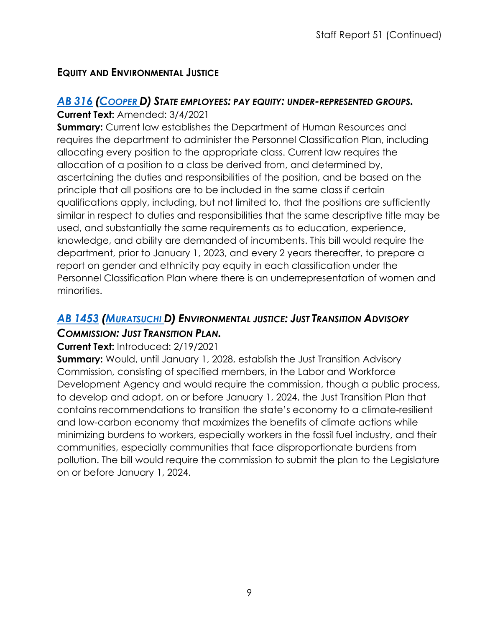## **EQUITY AND ENVIRONMENTAL JUSTICE**

## *AB [316](https://ctweb.capitoltrack.com/public/publishbillinfo.aspx?bi=w7cWQFO8R%2F6lYiZZk3DGyMCyP%2BLwNhtyoIRg9dFBqpfho2lh87qwG3dEs4WmSDSe) [\(COOPER D](https://a09.asmdc.org/)) STATE EMPLOYEES: PAY EQUITY: UNDER-REPRESENTED GROUPS.*

#### **Current Text:** Amended: 3/4/2021

**Summary:** Current law establishes the Department of Human Resources and requires the department to administer the Personnel Classification Plan, including allocating every position to the appropriate class. Current law requires the allocation of a position to a class be derived from, and determined by, ascertaining the duties and responsibilities of the position, and be based on the principle that all positions are to be included in the same class if certain qualifications apply, including, but not limited to, that the positions are sufficiently similar in respect to duties and responsibilities that the same descriptive title may be used, and substantially the same requirements as to education, experience, knowledge, and ability are demanded of incumbents. This bill would require the department, prior to January 1, 2023, and every 2 years thereafter, to prepare a report on gender and ethnicity pay equity in each classification under the Personnel Classification Plan where there is an underrepresentation of women and minorities.

## *AB [1453](https://ctweb.capitoltrack.com/public/publishbillinfo.aspx?bi=HQpy6NEEeP0j38dKXWHqmQ0vjrI%2FR1EedS8QJQ3SQ%2FcT3yyJowMXfqh5IwDp2%2BCJ) [\(MURATSUCHI D](https://a66.asmdc.org/)) ENVIRONMENTAL JUSTICE: JUST TRANSITION ADVISORY COMMISSION: JUST TRANSITION PLAN.*

#### **Current Text:** Introduced: 2/19/2021

**Summary:** Would, until January 1, 2028, establish the Just Transition Advisory Commission, consisting of specified members, in the Labor and Workforce Development Agency and would require the commission, though a public process, to develop and adopt, on or before January 1, 2024, the Just Transition Plan that contains recommendations to transition the state's economy to a climate-resilient and low-carbon economy that maximizes the benefits of climate actions while minimizing burdens to workers, especially workers in the fossil fuel industry, and their communities, especially communities that face disproportionate burdens from pollution. The bill would require the commission to submit the plan to the Legislature on or before January 1, 2024.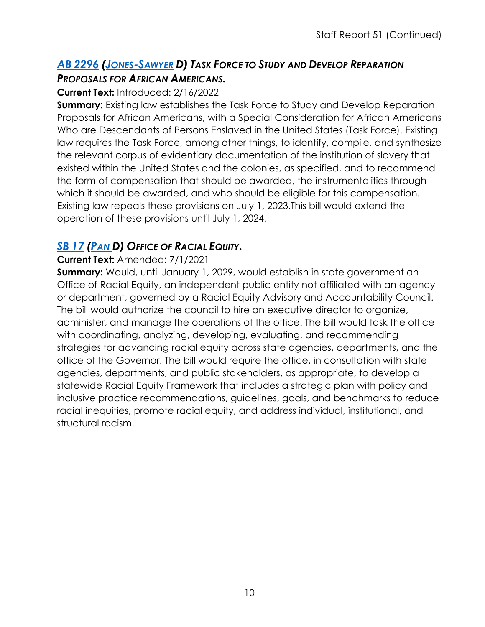## *AB [2296](https://ctweb.capitoltrack.com/public/publishbillinfo.aspx?bi=L%2BrRfB6xNCp8pJKqBPQPAb%2BaDJTNUJNlOQL7DElueUScOHZXW7l02UaXVpLQt%2Blc) [\(JONES-SAWYER](https://a59.asmdc.org/) D) TASK FORCE TO STUDY AND DEVELOP REPARATION PROPOSALS FOR AFRICAN AMERICANS.*

#### **Current Text:** Introduced: 2/16/2022

**Summary:** Existing law establishes the Task Force to Study and Develop Reparation Proposals for African Americans, with a Special Consideration for African Americans Who are Descendants of Persons Enslaved in the United States (Task Force). Existing law requires the Task Force, among other things, to identify, compile, and synthesize the relevant corpus of evidentiary documentation of the institution of slavery that existed within the United States and the colonies, as specified, and to recommend the form of compensation that should be awarded, the instrumentalities through which it should be awarded, and who should be eligible for this compensation. Existing law repeals these provisions on July 1, 2023.This bill would extend the operation of these provisions until July 1, 2024.

## *SB [17](https://ctweb.capitoltrack.com/public/publishbillinfo.aspx?bi=vSjVvjPhNQM0P%2FZmwGXb9bOfrcCUeGz%2F1Uir%2F5WuAK94u80pn%2F24w7IEvT%2BjfF97) [\(PAN D](http://sd06.senate.ca.gov/)) OFFICE OF RACIAL EQUITY.*

#### **Current Text:** Amended: 7/1/2021

**Summary:** Would, until January 1, 2029, would establish in state government an Office of Racial Equity, an independent public entity not affiliated with an agency or department, governed by a Racial Equity Advisory and Accountability Council. The bill would authorize the council to hire an executive director to organize, administer, and manage the operations of the office. The bill would task the office with coordinating, analyzing, developing, evaluating, and recommending strategies for advancing racial equity across state agencies, departments, and the office of the Governor. The bill would require the office, in consultation with state agencies, departments, and public stakeholders, as appropriate, to develop a statewide Racial Equity Framework that includes a strategic plan with policy and inclusive practice recommendations, guidelines, goals, and benchmarks to reduce racial inequities, promote racial equity, and address individual, institutional, and structural racism.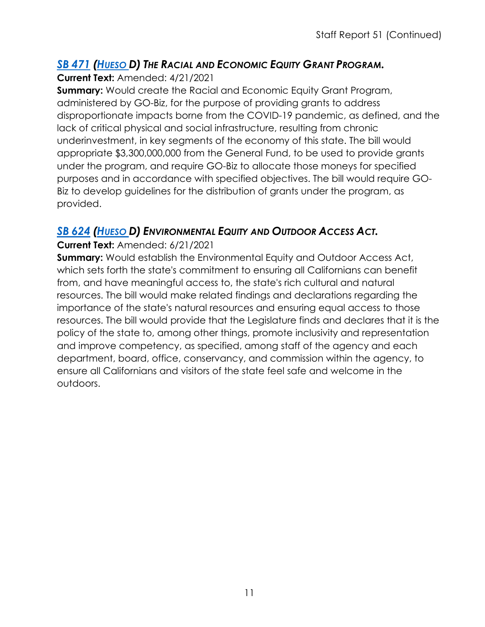## *SB 471 [\(HUESO D](http://sd40.senate.ca.gov/)) THE RACIAL AND ECONOMIC EQUITY GRANT PROGRAM.*

**[Current](https://ctweb.capitoltrack.com/public/publishbillinfo.aspx?bi=7vy%2BHb6YJ135BHSysd0i%2BycBXxvkEVPknpr8l%2B1JfB%2FVo3rS%2BqHbx9i87Km5WUPP) Text:** Amended: 4/21/2021

**Summary:** Would create the Racial and Economic Equity Grant Program, administered by GO-Biz, for the purpose of providing grants to address disproportionate impacts borne from the COVID-19 pandemic, as defined, and the lack of critical physical and social infrastructure, resulting from chronic underinvestment, in key segments of the economy of this state. The bill would appropriate \$3,300,000,000 from the General Fund, to be used to provide grants under the program, and require GO-Biz to allocate those moneys for specified purposes and in accordance with specified objectives. The bill would require GO-Biz to develop guidelines for the distribution of grants under the program, as provided.

## *SB [624](https://ctweb.capitoltrack.com/public/publishbillinfo.aspx?bi=bao91fgb9MSLx6Xee7hUOGYdbuGUHX8nLNfGZGWGLMMIBFywHt7lsd1hIv%2BqjchY) [\(HUESO D](http://sd40.senate.ca.gov/)) ENVIRONMENTAL EQUITY AND OUTDOOR ACCESS ACT.*

#### **Current Text:** Amended: 6/21/2021

**Summary:** Would establish the Environmental Equity and Outdoor Access Act, which sets forth the state's commitment to ensuring all Californians can benefit from, and have meaningful access to, the state's rich cultural and natural resources. The bill would make related findings and declarations regarding the importance of the state's natural resources and ensuring equal access to those resources. The bill would provide that the Legislature finds and declares that it is the policy of the state to, among other things, promote inclusivity and representation and improve competency, as specified, among staff of the agency and each department, board, office, conservancy, and commission within the agency, to ensure all Californians and visitors of the state feel safe and welcome in the outdoors.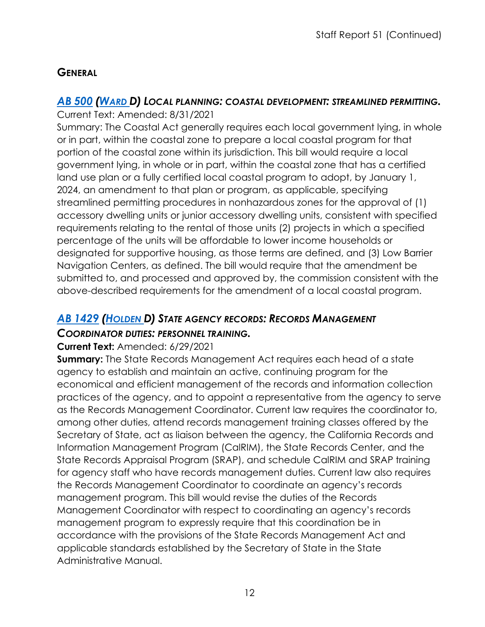## **GENERAL**

## *AB [500](https://ctweb.capitoltrack.com/public/publishbillinfo.aspx?bi=5wxSO9PhfYnrpY3WJHxqCp%2FiVFVSuxvMfHy%2BEpUMk4QhM%2FT3gbRSN5pRKoU78au0) [\(WARD D](https://a78.asmdc.org/)) LOCAL PLANNING: COASTAL DEVELOPMENT: STREAMLINED PERMITTING.*

Current Text: Amended: 8/31/2021 Summary: The Coastal Act generally requires each local government lying, in whole or in part, within the coastal zone to prepare a local coastal program for that portion of the coastal zone within its jurisdiction. This bill would require a local government lying, in whole or in part, within the coastal zone that has a certified land use plan or a fully certified local coastal program to adopt, by January 1, 2024, an amendment to that plan or program, as applicable, specifying streamlined permitting procedures in nonhazardous zones for the approval of (1) accessory dwelling units or junior accessory dwelling units, consistent with specified requirements relating to the rental of those units (2) projects in which a specified percentage of the units will be affordable to lower income households or designated for supportive housing, as those terms are defined, and (3) Low Barrier Navigation Centers, as defined. The bill would require that the amendment be submitted to, and processed and approved by, the commission consistent with the above-described requirements for the amendment of a local coastal program.

## *AB [1429](https://ctweb.capitoltrack.com/public/publishbillinfo.aspx?bi=hEtNIIHkLm9cIa9zVTmb8k4JhoWm8KRczzUJBnYCUghZ7yV%2FahBo5jmKl8nuT%2F6K) [\(HOLDEN D](https://a41.asmdc.org/)) STATE AGENCY RECORDS: RECORDS MANAGEMENT*

#### *COORDINATOR DUTIES: PERSONNEL TRAINING.*

#### **Current Text:** Amended: 6/29/2021

**Summary:** The State Records Management Act requires each head of a state agency to establish and maintain an active, continuing program for the economical and efficient management of the records and information collection practices of the agency, and to appoint a representative from the agency to serve as the Records Management Coordinator. Current law requires the coordinator to, among other duties, attend records management training classes offered by the Secretary of State, act as liaison between the agency, the California Records and Information Management Program (CalRIM), the State Records Center, and the State Records Appraisal Program (SRAP), and schedule CalRIM and SRAP training for agency staff who have records management duties. Current law also requires the Records Management Coordinator to coordinate an agency's records management program. This bill would revise the duties of the Records Management Coordinator with respect to coordinating an agency's records management program to expressly require that this coordination be in accordance with the provisions of the State Records Management Act and applicable standards established by the Secretary of State in the State Administrative Manual.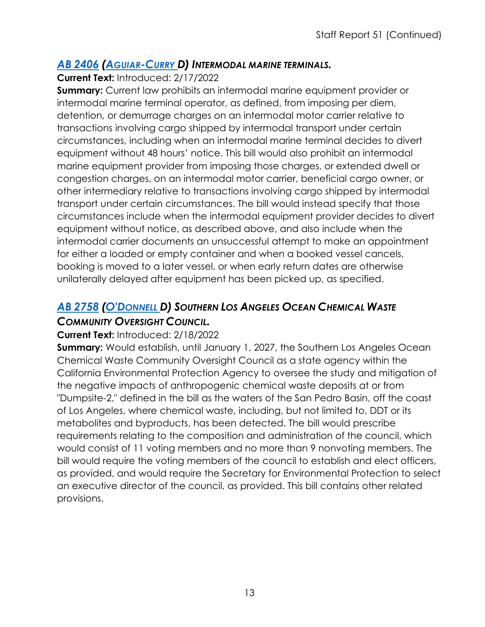#### *AB [2406](https://ctweb.capitoltrack.com/public/publishbillinfo.aspx?bi=R3TuKqTklJHB6MV2QQRrZnUr0oGy180tmqod5g3xWNSQxbn3yr7TeQg%2FTlGYjpzG) [\(AGUIAR-CURRY D](https://a04.asmdc.org/)) INTERMODAL MARINE TERMINALS.*

**Current Text:** Introduced: 2/17/2022

**Summary:** Current law prohibits an intermodal marine equipment provider or intermodal marine terminal operator, as defined, from imposing per diem, detention, or demurrage charges on an intermodal motor carrier relative to transactions involving cargo shipped by intermodal transport under certain circumstances, including when an intermodal marine terminal decides to divert equipment without 48 hours' notice. This bill would also prohibit an intermodal marine equipment provider from imposing those charges, or extended dwell or congestion charges, on an intermodal motor carrier, beneficial cargo owner, or other intermediary relative to transactions involving cargo shipped by intermodal transport under certain circumstances. The bill would instead specify that those circumstances include when the intermodal equipment provider decides to divert equipment without notice, as described above, and also include when the intermodal carrier documents an unsuccessful attempt to make an appointment for either a loaded or empty container and when a booked vessel cancels, booking is moved to a later vessel, or when early return dates are otherwise unilaterally delayed after equipment has been picked up, as specified.

## *AB [2758](https://ctweb.capitoltrack.com/public/publishbillinfo.aspx?bi=VvEpBx5t3Hu1ss3JsI0x1W%2FXa2hfhzP%2Foia4i7TzhB4jHiYATffza6Bw9r2mX4jW) [\(O'DONNELL D](https://a70.asmdc.org/)) SOUTHERN LOS ANGELES OCEAN CHEMICAL WASTE COMMUNITY OVERSIGHT COUNCIL.*

#### **Current Text:** Introduced: 2/18/2022

**Summary:** Would establish, until January 1, 2027, the Southern Los Angeles Ocean Chemical Waste Community Oversight Council as a state agency within the California Environmental Protection Agency to oversee the study and mitigation of the negative impacts of anthropogenic chemical waste deposits at or from "Dumpsite-2," defined in the bill as the waters of the San Pedro Basin, off the coast of Los Angeles, where chemical waste, including, but not limited to, DDT or its metabolites and byproducts, has been detected. The bill would prescribe requirements relating to the composition and administration of the council, which would consist of 11 voting members and no more than 9 nonvoting members. The bill would require the voting members of the council to establish and elect officers, as provided, and would require the Secretary for Environmental Protection to select an executive director of the council, as provided. This bill contains other related provisions.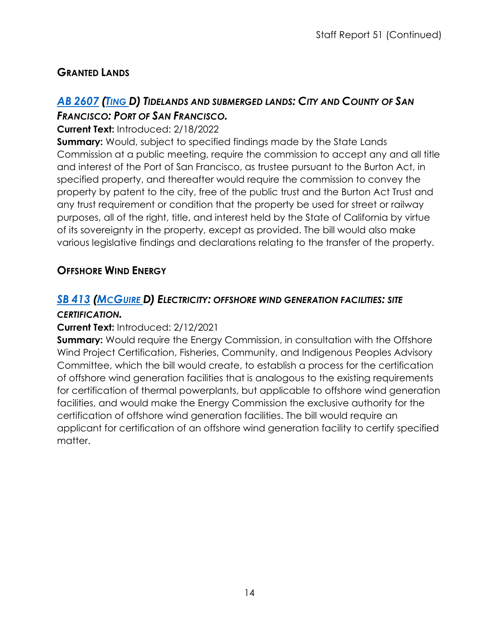## **GRANTED LANDS**

## *AB [2607](https://ctweb.capitoltrack.com/public/publishbillinfo.aspx?bi=jjw5jE%2FxlZ36i3LbFQaFIvH1Uud4k%2FF2IOA3ZEUTKHuNe1ZN6a%2FAVonN9gk%2F%2FDX1) [\(TING D](https://a19.asmdc.org/)) TIDELANDS AND SUBMERGED LANDS: CITY AND COUNTY OF SAN FRANCISCO: PORT OF SAN FRANCISCO.*

#### **Current Text:** Introduced: 2/18/2022

**Summary:** Would, subject to specified findings made by the State Lands Commission at a public meeting, require the commission to accept any and all title and interest of the Port of San Francisco, as trustee pursuant to the Burton Act, in specified property, and thereafter would require the commission to convey the property by patent to the city, free of the public trust and the Burton Act Trust and any trust requirement or condition that the property be used for street or railway purposes, all of the right, title, and interest held by the State of California by virtue of its sovereignty in the property, except as provided. The bill would also make various legislative findings and declarations relating to the transfer of the property.

## **OFFSHORE WIND ENERGY**

## *SB [413](https://ctweb.capitoltrack.com/public/publishbillinfo.aspx?bi=H05k%2FJBa1U9kIMM9Sue6Pg2Lt8sQhPVBYOq0YWbaIUZ9ly9FtYFBoKxVwnAo8vZB) [\(MCGUIRE D](http://sd02.senate.ca.gov/)) ELECTRICITY: OFFSHORE WIND GENERATION FACILITIES: SITE*

#### *CERTIFICATION.*

#### **Current Text:** Introduced: 2/12/2021

**Summary:** Would require the Energy Commission, in consultation with the Offshore Wind Project Certification, Fisheries, Community, and Indigenous Peoples Advisory Committee, which the bill would create, to establish a process for the certification of offshore wind generation facilities that is analogous to the existing requirements for certification of thermal powerplants, but applicable to offshore wind generation facilities, and would make the Energy Commission the exclusive authority for the certification of offshore wind generation facilities. The bill would require an applicant for certification of an offshore wind generation facility to certify specified matter.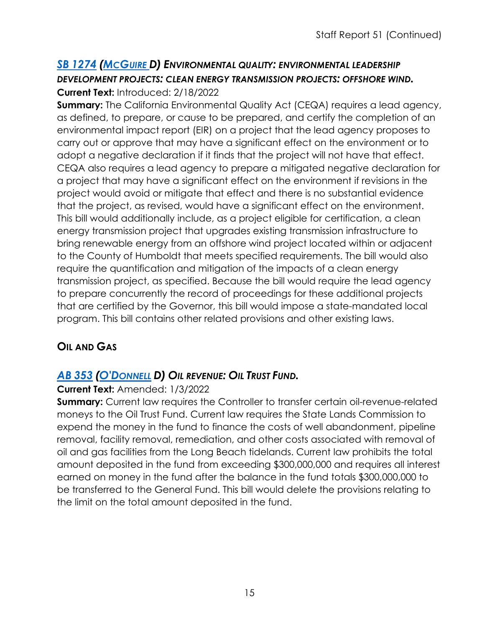#### *SB [1274](https://ctweb.capitoltrack.com/public/publishbillinfo.aspx?bi=BGtcRofiT0vm5CVHs5ZLxRwOtGffyUBTOyawUnNJQ1cs9TqSyn74NSz2Fx47aQkT) [\(MCGUIRE D](http://sd02.senate.ca.gov/)) ENVIRONMENTAL QUALITY: ENVIRONMENTAL LEADERSHIP DEVELOPMENT PROJECTS: CLEAN ENERGY TRANSMISSION PROJECTS: OFFSHORE WIND.* **Current Text:** Introduced: 2/18/2022

**Summary:** The California Environmental Quality Act (CEQA) requires a lead agency, as defined, to prepare, or cause to be prepared, and certify the completion of an environmental impact report (EIR) on a project that the lead agency proposes to carry out or approve that may have a significant effect on the environment or to adopt a negative declaration if it finds that the project will not have that effect. CEQA also requires a lead agency to prepare a mitigated negative declaration for a project that may have a significant effect on the environment if revisions in the project would avoid or mitigate that effect and there is no substantial evidence that the project, as revised, would have a significant effect on the environment. This bill would additionally include, as a project eligible for certification, a clean energy transmission project that upgrades existing transmission infrastructure to bring renewable energy from an offshore wind project located within or adjacent to the County of Humboldt that meets specified requirements. The bill would also require the quantification and mitigation of the impacts of a clean energy transmission project, as specified. Because the bill would require the lead agency to prepare concurrently the record of proceedings for these additional projects that are certified by the Governor, this bill would impose a state-mandated local program. This bill contains other related provisions and other existing laws.

## **OIL AND GAS**

## *AB [353](https://ctweb.capitoltrack.com/public/publishbillinfo.aspx?bi=9a7oZ6ingFnoQn8gbB2f91Wu65I4rhFS9Vo7CsUYtjifqURwExkJeqtajdkDx1hS) [\(O'DONNELL](https://a70.asmdc.org/) D) OIL REVENUE: OIL TRUST FUND.*

#### **Current Text:** Amended: 1/3/2022

**Summary:** Current law requires the Controller to transfer certain oil-revenue-related moneys to the Oil Trust Fund. Current law requires the State Lands Commission to expend the money in the fund to finance the costs of well abandonment, pipeline removal, facility removal, remediation, and other costs associated with removal of oil and gas facilities from the Long Beach tidelands. Current law prohibits the total amount deposited in the fund from exceeding \$300,000,000 and requires all interest earned on money in the fund after the balance in the fund totals \$300,000,000 to be transferred to the General Fund. This bill would delete the provisions relating to the limit on the total amount deposited in the fund.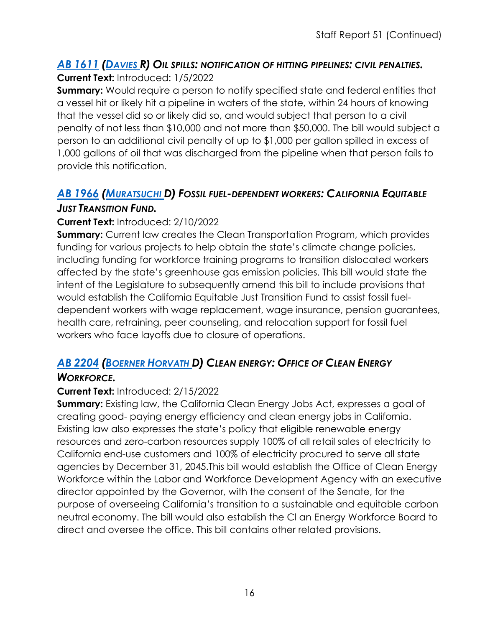#### *AB [1611](https://ctweb.capitoltrack.com/public/publishbillinfo.aspx?bi=50l1p7R3E4TsJPzjxnrba00gjJlNukvD3ZdqFMwaQkZsAp%2BIFYD%2BQ2qC9fAex2RC) [\(DAVIES R](http://ad73.asmrc.org/)) OIL SPILLS: NOTIFICATION OF HITTING PIPELINES: CIVIL PENALTIES.* **Current Text:** Introduced: 1/5/2022

**Summary:** Would require a person to notify specified state and federal entities that a vessel hit or likely hit a pipeline in waters of the state, within 24 hours of knowing that the vessel did so or likely did so, and would subject that person to a civil penalty of not less than \$10,000 and not more than \$50,000. The bill would subject a person to an additional civil penalty of up to \$1,000 per gallon spilled in excess of 1,000 gallons of oil that was discharged from the pipeline when that person fails to provide this notification.

#### *AB [1966](https://ctweb.capitoltrack.com/public/publishbillinfo.aspx?bi=31VtHaitTCYta4vMcnobykpSYi%2BBrQ%2Flfy2YX0PXMoyW83mAVCNB3OWY%2FhlwV2zI) [\(MURATSUCHI D](https://a66.asmdc.org/)) FOSSIL FUEL-DEPENDENT WORKERS: CALIFORNIA EQUITABLE JUST TRANSITION FUND.*

#### **Current Text:** Introduced: 2/10/2022

**Summary:** Current law creates the Clean Transportation Program, which provides funding for various projects to help obtain the state's climate change policies, including funding for workforce training programs to transition dislocated workers affected by the state's greenhouse gas emission policies. This bill would state the intent of the Legislature to subsequently amend this bill to include provisions that would establish the California Equitable Just Transition Fund to assist fossil fueldependent workers with wage replacement, wage insurance, pension guarantees, health care, retraining, peer counseling, and relocation support for fossil fuel workers who face layoffs due to closure of operations.

## *AB [2204](https://ctweb.capitoltrack.com/public/publishbillinfo.aspx?bi=6ruiaG116UChm8yXNvdTx1bJElozb3h7yGmoIDpJL1ynOgcdLBmXujX9D%2FTyf2xo) [\(BOERNER HORVATH D](https://a76.asmdc.org/)) CLEAN ENERGY: OFFICE OF CLEAN ENERGY*

#### *WORKFORCE.*

#### **Current Text:** Introduced: 2/15/2022

**Summary:** Existing law, the California Clean Energy Jobs Act, expresses a goal of creating good- paying energy efficiency and clean energy jobs in California. Existing law also expresses the state's policy that eligible renewable energy resources and zero-carbon resources supply 100% of all retail sales of electricity to California end-use customers and 100% of electricity procured to serve all state agencies by December 31, 2045.This bill would establish the Office of Clean Energy Workforce within the Labor and Workforce Development Agency with an executive director appointed by the Governor, with the consent of the Senate, for the purpose of overseeing California's transition to a sustainable and equitable carbon neutral economy. The bill would also establish the Cl an Energy Workforce Board to direct and oversee the office. This bill contains other related provisions.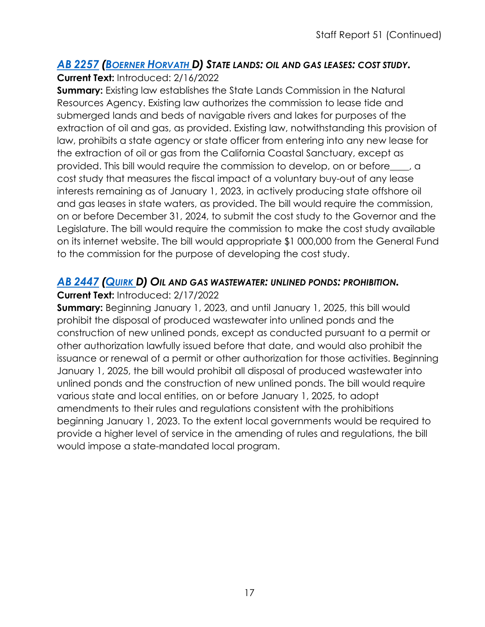#### *AB [2257](https://ctweb.capitoltrack.com/public/publishbillinfo.aspx?bi=s6c4tOLoHR3g%2BOvtCC2wdqhm0H4ut5PEiEB5QOTo%2Fvs0wjgcuDwC581lCXOc8%2FxP) [\(BOERNER HORVATH D](https://a76.asmdc.org/)) STATE LANDS: OIL AND GAS LEASES: COST STUDY.* **Current Text:** Introduced: 2/16/2022

**Summary:** Existing law establishes the State Lands Commission in the Natural Resources Agency. Existing law authorizes the commission to lease tide and submerged lands and beds of navigable rivers and lakes for purposes of the extraction of oil and gas, as provided. Existing law, notwithstanding this provision of law, prohibits a state agency or state officer from entering into any new lease for the extraction of oil or gas from the California Coastal Sanctuary, except as provided. This bill would require the commission to develop, on or before\_\_\_\_, a cost study that measures the fiscal impact of a voluntary buy-out of any lease interests remaining as of January 1, 2023, in actively producing state offshore oil and gas leases in state waters, as provided. The bill would require the commission, on or before December 31, 2024, to submit the cost study to the Governor and the Legislature. The bill would require the commission to make the cost study available on its internet website. The bill would appropriate \$1 000,000 from the General Fund to the commission for the purpose of developing the cost study.

#### *AB [2447](https://ctweb.capitoltrack.com/public/publishbillinfo.aspx?bi=O7EZ4Ze68VO8VgH3acxY86Whnbra2Z86%2BxmMezkYm%2FMkim2xdLhUNLjKVR61HWJe) [\(QUIRK D](https://a20.asmdc.org/)) OIL AND GAS WASTEWATER: UNLINED PONDS: PROHIBITION.*

#### **Current Text:** Introduced: 2/17/2022

**Summary:** Beginning January 1, 2023, and until January 1, 2025, this bill would prohibit the disposal of produced wastewater into unlined ponds and the construction of new unlined ponds, except as conducted pursuant to a permit or other authorization lawfully issued before that date, and would also prohibit the issuance or renewal of a permit or other authorization for those activities. Beginning January 1, 2025, the bill would prohibit all disposal of produced wastewater into unlined ponds and the construction of new unlined ponds. The bill would require various state and local entities, on or before January 1, 2025, to adopt amendments to their rules and regulations consistent with the prohibitions beginning January 1, 2023. To the extent local governments would be required to provide a higher level of service in the amending of rules and regulations, the bill would impose a state-mandated local program.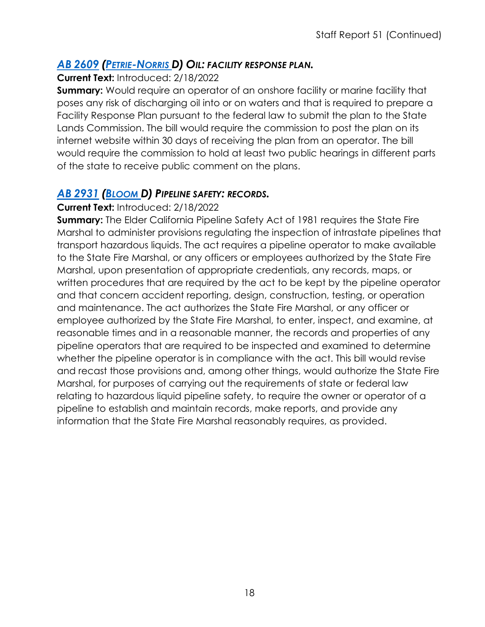#### *AB [2609](https://ctweb.capitoltrack.com/public/publishbillinfo.aspx?bi=jjw5jE%2FxlZ36i3LbFQaFIhkTM0EOsjIiV4e25ZgRqbOwwKnqQlA9FuPCaUV3PcUQ) [\(PETRIE-NORRIS D](https://a74.asmdc.org/)) OIL: FACILITY RESPONSE PLAN.*

**Current Text:** Introduced: 2/18/2022

**Summary:** Would require an operator of an onshore facility or marine facility that poses any risk of discharging oil into or on waters and that is required to prepare a Facility Response Plan pursuant to the federal law to submit the plan to the State Lands Commission. The bill would require the commission to post the plan on its internet website within 30 days of receiving the plan from an operator. The bill would require the commission to hold at least two public hearings in different parts of the state to receive public comment on the plans.

#### *AB [2931](https://ctweb.capitoltrack.com/public/publishbillinfo.aspx?bi=mn%2FVhA%2FViqyjNRfH0zfaPYQIKZmGRZCD5FRX2TCVsyBV5Rocqf1p0jPB46hK%2FbIh) [\(BLOOM D](https://a50.asmdc.org/)) PIPELINE SAFETY: RECORDS.*

#### **Current Text:** Introduced: 2/18/2022

**Summary:** The Elder California Pipeline Safety Act of 1981 requires the State Fire Marshal to administer provisions regulating the inspection of intrastate pipelines that transport hazardous liquids. The act requires a pipeline operator to make available to the State Fire Marshal, or any officers or employees authorized by the State Fire Marshal, upon presentation of appropriate credentials, any records, maps, or written procedures that are required by the act to be kept by the pipeline operator and that concern accident reporting, design, construction, testing, or operation and maintenance. The act authorizes the State Fire Marshal, or any officer or employee authorized by the State Fire Marshal, to enter, inspect, and examine, at reasonable times and in a reasonable manner, the records and properties of any pipeline operators that are required to be inspected and examined to determine whether the pipeline operator is in compliance with the act. This bill would revise and recast those provisions and, among other things, would authorize the State Fire Marshal, for purposes of carrying out the requirements of state or federal law relating to hazardous liquid pipeline safety, to require the owner or operator of a pipeline to establish and maintain records, make reports, and provide any information that the State Fire Marshal reasonably requires, as provided.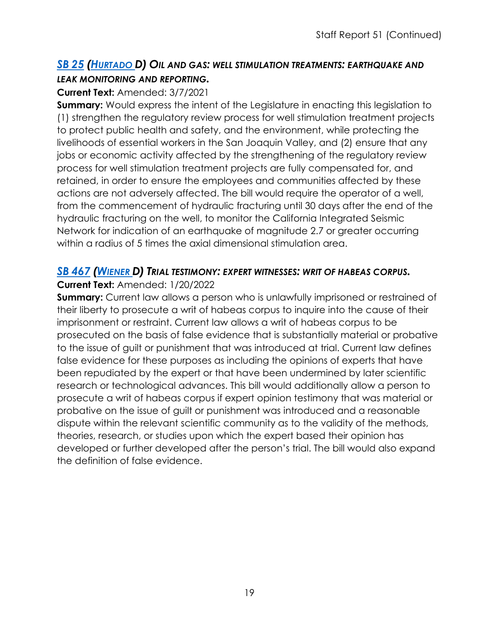#### *SB 25 [\(HURTADO D](https://sd14.senate.ca.gov/)) OIL AND GAS: WELL STIMULATION TREATMENTS: EARTHQUAKE AND [LEAK M](https://ctweb.capitoltrack.com/public/publishbillinfo.aspx?bi=9ZXo%2B7L2TRANiNguU5Bcc6Nl7VGT%2B%2F%2BvXTbCW7JhDB1sY2FOWX0ErXOR1Hyml%2BqA)ONITORING AND REPORTING.*

#### **Current Text:** Amended: 3/7/2021

**Summary:** Would express the intent of the Legislature in enacting this legislation to (1) strengthen the regulatory review process for well stimulation treatment projects to protect public health and safety, and the environment, while protecting the livelihoods of essential workers in the San Joaquin Valley, and (2) ensure that any jobs or economic activity affected by the strengthening of the regulatory review process for well stimulation treatment projects are fully compensated for, and retained, in order to ensure the employees and communities affected by these actions are not adversely affected. The bill would require the operator of a well, from the commencement of hydraulic fracturing until 30 days after the end of the hydraulic fracturing on the well, to monitor the California Integrated Seismic Network for indication of an earthquake of magnitude 2.7 or greater occurring within a radius of 5 times the axial dimensional stimulation area.

#### *SB [467](https://ctweb.capitoltrack.com/public/publishbillinfo.aspx?bi=m7KaqK2%2B%2BQuITSZ0ILdTcn8qOLQskLzx3yS%2BMiOHIGhf332eqYkLErTarssOpwgk) [\(WIENER D](http://sd11.senate.ca.gov/)) TRIAL TESTIMONY: EXPERT WITNESSES: WRIT OF HABEAS CORPUS.*

#### **Current Text:** Amended: 1/20/2022

**Summary:** Current law allows a person who is unlawfully imprisoned or restrained of their liberty to prosecute a writ of habeas corpus to inquire into the cause of their imprisonment or restraint. Current law allows a writ of habeas corpus to be prosecuted on the basis of false evidence that is substantially material or probative to the issue of guilt or punishment that was introduced at trial. Current law defines false evidence for these purposes as including the opinions of experts that have been repudiated by the expert or that have been undermined by later scientific research or technological advances. This bill would additionally allow a person to prosecute a writ of habeas corpus if expert opinion testimony that was material or probative on the issue of guilt or punishment was introduced and a reasonable dispute within the relevant scientific community as to the validity of the methods, theories, research, or studies upon which the expert based their opinion has developed or further developed after the person's trial. The bill would also expand the definition of false evidence.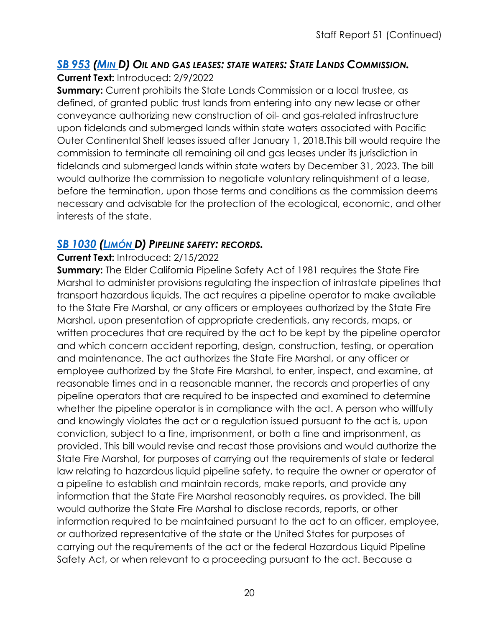## *SB 953 [\(MIN D](https://sd37.senate.ca.gov/)) OIL AND GAS LEASES: STATE WATERS: STATE LANDS COMMISSION.*

**[Current](https://ctweb.capitoltrack.com/public/publishbillinfo.aspx?bi=8tVbWHXaLJcsDJ52v6oBMmDaPD%2Bn%2B%2BU%2FAvohk%2Fd6uBEOIB3Yzv8QeaX5hp%2F7Ivlr) Text:** Introduced: 2/9/2022

**Summary:** Current prohibits the State Lands Commission or a local trustee, as defined, of granted public trust lands from entering into any new lease or other conveyance authorizing new construction of oil- and gas-related infrastructure upon tidelands and submerged lands within state waters associated with Pacific Outer Continental Shelf leases issued after January 1, 2018.This bill would require the commission to terminate all remaining oil and gas leases under its jurisdiction in tidelands and submerged lands within state waters by December 31, 2023. The bill would authorize the commission to negotiate voluntary relinquishment of a lease, before the termination, upon those terms and conditions as the commission deems necessary and advisable for the protection of the ecological, economic, and other interests of the state.

## *SB [1030](https://ctweb.capitoltrack.com/public/publishbillinfo.aspx?bi=ub3TU0Q37Cx6ashCV1IkZtFCskVL7sXXpiIPSEHOncxeaOQ7Ul7hRmE6kubuEXiA) [\(LIMÓN D](http://sd19.senate.ca.gov/)) PIPELINE SAFETY: RECORDS.*

#### **Current Text:** Introduced: 2/15/2022

**Summary:** The Elder California Pipeline Safety Act of 1981 requires the State Fire Marshal to administer provisions regulating the inspection of intrastate pipelines that transport hazardous liquids. The act requires a pipeline operator to make available to the State Fire Marshal, or any officers or employees authorized by the State Fire Marshal, upon presentation of appropriate credentials, any records, maps, or written procedures that are required by the act to be kept by the pipeline operator and which concern accident reporting, design, construction, testing, or operation and maintenance. The act authorizes the State Fire Marshal, or any officer or employee authorized by the State Fire Marshal, to enter, inspect, and examine, at reasonable times and in a reasonable manner, the records and properties of any pipeline operators that are required to be inspected and examined to determine whether the pipeline operator is in compliance with the act. A person who willfully and knowingly violates the act or a regulation issued pursuant to the act is, upon conviction, subject to a fine, imprisonment, or both a fine and imprisonment, as provided. This bill would revise and recast those provisions and would authorize the State Fire Marshal, for purposes of carrying out the requirements of state or federal law relating to hazardous liquid pipeline safety, to require the owner or operator of a pipeline to establish and maintain records, make reports, and provide any information that the State Fire Marshal reasonably requires, as provided. The bill would authorize the State Fire Marshal to disclose records, reports, or other information required to be maintained pursuant to the act to an officer, employee, or authorized representative of the state or the United States for purposes of carrying out the requirements of the act or the federal Hazardous Liquid Pipeline Safety Act, or when relevant to a proceeding pursuant to the act. Because a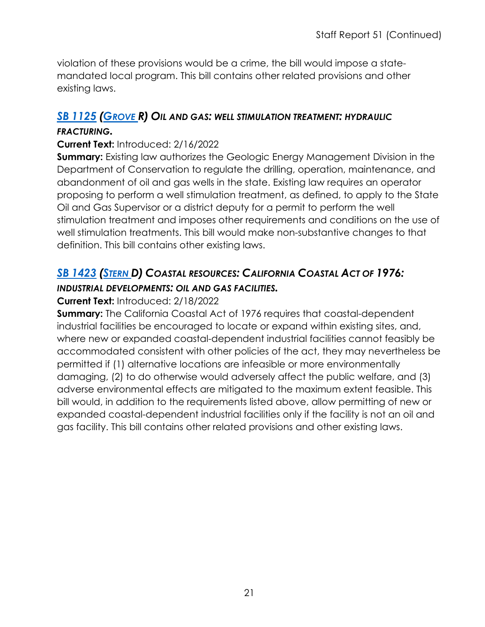violation of these provisions would be a crime, the bill would impose a statemandated local program. This bill contains other related provisions and other existing laws.

## *SB [1125](https://ctweb.capitoltrack.com/public/publishbillinfo.aspx?bi=59CcaF9qL%2BvPgMsE7eQSYw8C%2BL11QwLlq8ZboVR%2B25EDFjj2kDcuA7rapCfGp15A) [\(GROVE R](https://grove.cssrc.us/)) OIL AND GAS: WELL STIMULATION TREATMENT: HYDRAULIC*

#### *FRACTURING.*

#### **Current Text:** Introduced: 2/16/2022

**Summary:** Existing law authorizes the Geologic Energy Management Division in the Department of Conservation to regulate the drilling, operation, maintenance, and abandonment of oil and gas wells in the state. Existing law requires an operator proposing to perform a well stimulation treatment, as defined, to apply to the State Oil and Gas Supervisor or a district deputy for a permit to perform the well stimulation treatment and imposes other requirements and conditions on the use of well stimulation treatments. This bill would make non-substantive changes to that definition. This bill contains other existing laws.

#### *SB [1423](https://ctweb.capitoltrack.com/public/publishbillinfo.aspx?bi=LkdiwOw3jUhgHnFGMcNHSqYr21%2Bxm9QNOa2pBDpsj6W0fjiyYvMSNDtZeerVKzE7) [\(STERN D](http://sd27.senate.ca.gov/)) COASTAL RESOURCES: CALIFORNIA COASTAL ACT OF 1976: INDUSTRIAL DEVELOPMENTS: OIL AND GAS FACILITIES.*

#### **Current Text:** Introduced: 2/18/2022

**Summary:** The California Coastal Act of 1976 requires that coastal-dependent industrial facilities be encouraged to locate or expand within existing sites, and, where new or expanded coastal-dependent industrial facilities cannot feasibly be accommodated consistent with other policies of the act, they may nevertheless be permitted if (1) alternative locations are infeasible or more environmentally damaging, (2) to do otherwise would adversely affect the public welfare, and (3) adverse environmental effects are mitigated to the maximum extent feasible. This bill would, in addition to the requirements listed above, allow permitting of new or expanded coastal-dependent industrial facilities only if the facility is not an oil and gas facility. This bill contains other related provisions and other existing laws.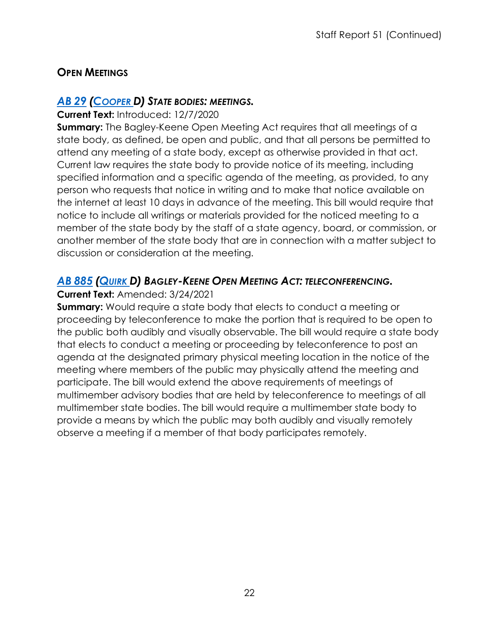## **OPEN MEETINGS**

#### *[AB](https://ctweb.capitoltrack.com/public/publishbillinfo.aspx?bi=XkpI7%2FaktCJCIQdeoGBAkIQYCusd2toA8qgvxOtcr5%2FB288tZfXibk9pkHr3C%2BIT) 29 [\(COOPER D](https://a09.asmdc.org/)) STATE BODIES: MEETINGS.*

#### **Current Text:** Introduced: 12/7/2020

**Summary:** The Bagley-Keene Open Meeting Act requires that all meetings of a state body, as defined, be open and public, and that all persons be permitted to attend any meeting of a state body, except as otherwise provided in that act. Current law requires the state body to provide notice of its meeting, including specified information and a specific agenda of the meeting, as provided, to any person who requests that notice in writing and to make that notice available on the internet at least 10 days in advance of the meeting. This bill would require that notice to include all writings or materials provided for the noticed meeting to a member of the state body by the staff of a state agency, board, or commission, or another member of the state body that are in connection with a matter subject to discussion or consideration at the meeting.

#### *AB [885](https://ctweb.capitoltrack.com/public/publishbillinfo.aspx?bi=exBMaxLvv%2BCOgkbbRcJoh9dxXlS%2BScGZyBg0KDy0ZnK9EA3NKGGco9rj2pGTn%2BMz) [\(QUIRK D](https://a20.asmdc.org/)) BAGLEY-KEENE OPEN MEETING ACT: TELECONFERENCING.*

#### **Current Text:** Amended: 3/24/2021

**Summary:** Would require a state body that elects to conduct a meeting or proceeding by teleconference to make the portion that is required to be open to the public both audibly and visually observable. The bill would require a state body that elects to conduct a meeting or proceeding by teleconference to post an agenda at the designated primary physical meeting location in the notice of the meeting where members of the public may physically attend the meeting and participate. The bill would extend the above requirements of meetings of multimember advisory bodies that are held by teleconference to meetings of all multimember state bodies. The bill would require a multimember state body to provide a means by which the public may both audibly and visually remotely observe a meeting if a member of that body participates remotely.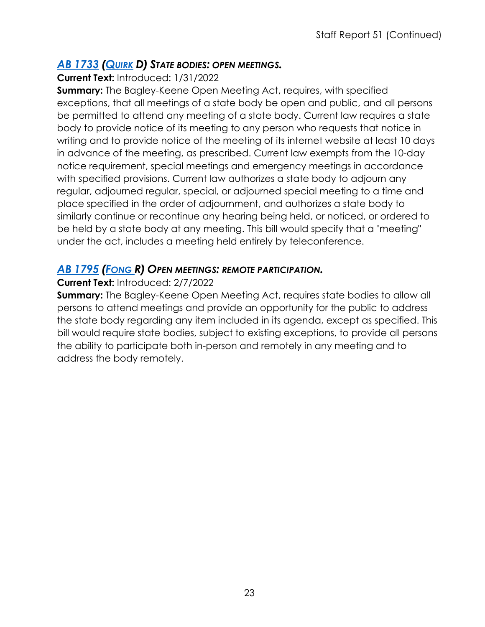#### *AB [1733](https://ctweb.capitoltrack.com/public/publishbillinfo.aspx?bi=Y1Ho9IXBcQhlsTza6grKsQ7sZwimLa2c12gvqje0kuDV6xARMgDNh6Q%2FFY0z96DD) [\(QUIRK](https://a20.asmdc.org/) D) STATE BODIES: OPEN MEETINGS.*

#### **Current Text:** Introduced: 1/31/2022

**Summary:** The Bagley-Keene Open Meeting Act, requires, with specified exceptions, that all meetings of a state body be open and public, and all persons be permitted to attend any meeting of a state body. Current law requires a state body to provide notice of its meeting to any person who requests that notice in writing and to provide notice of the meeting of its internet website at least 10 days in advance of the meeting, as prescribed. Current law exempts from the 10-day notice requirement, special meetings and emergency meetings in accordance with specified provisions. Current law authorizes a state body to adjourn any regular, adjourned regular, special, or adjourned special meeting to a time and place specified in the order of adjournment, and authorizes a state body to similarly continue or recontinue any hearing being held, or noticed, or ordered to be held by a state body at any meeting. This bill would specify that a "meeting" under the act, includes a meeting held entirely by teleconference.

## *AB [1795](https://ctweb.capitoltrack.com/public/publishbillinfo.aspx?bi=c%2BK8ZbRyArDgSZHVMyJM2zh%2FZQVnZlCiI9oU2jU8oVA2p4CWBt8CYlsz7sYK5o4w) [\(FONG R](https://ad34.asmrc.org/)) OPEN MEETINGS: REMOTE PARTICIPATION.*

#### **Current Text:** Introduced: 2/7/2022

**Summary:** The Bagley-Keene Open Meeting Act, requires state bodies to allow all persons to attend meetings and provide an opportunity for the public to address the state body regarding any item included in its agenda, except as specified. This bill would require state bodies, subject to existing exceptions, to provide all persons the ability to participate both in-person and remotely in any meeting and to address the body remotely.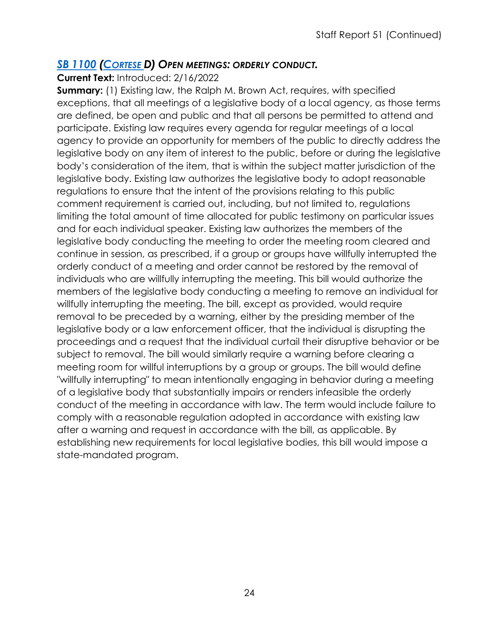#### *SB [1100](https://ctweb.capitoltrack.com/public/publishbillinfo.aspx?bi=A8qSIOoVRQc12C29iyGE5Tbf8cKZ08E3%2FJeIF2UGbLVMDzVcKJk5iHx0m4ItaGGp) [\(CORTESE D](http://sd15.senate.ca.gov/)) OPEN MEETINGS: ORDERLY CONDUCT.*

**Current Text:** Introduced: 2/16/2022

**Summary:** (1) Existing law, the Ralph M. Brown Act, requires, with specified exceptions, that all meetings of a legislative body of a local agency, as those terms are defined, be open and public and that all persons be permitted to attend and participate. Existing law requires every agenda for regular meetings of a local agency to provide an opportunity for members of the public to directly address the legislative body on any item of interest to the public, before or during the legislative body's consideration of the item, that is within the subject matter jurisdiction of the legislative body. Existing law authorizes the legislative body to adopt reasonable regulations to ensure that the intent of the provisions relating to this public comment requirement is carried out, including, but not limited to, regulations limiting the total amount of time allocated for public testimony on particular issues and for each individual speaker. Existing law authorizes the members of the legislative body conducting the meeting to order the meeting room cleared and continue in session, as prescribed, if a group or groups have willfully interrupted the orderly conduct of a meeting and order cannot be restored by the removal of individuals who are willfully interrupting the meeting. This bill would authorize the members of the legislative body conducting a meeting to remove an individual for willfully interrupting the meeting. The bill, except as provided, would require removal to be preceded by a warning, either by the presiding member of the legislative body or a law enforcement officer, that the individual is disrupting the proceedings and a request that the individual curtail their disruptive behavior or be subject to removal. The bill would similarly require a warning before clearing a meeting room for willful interruptions by a group or groups. The bill would define "willfully interrupting" to mean intentionally engaging in behavior during a meeting of a legislative body that substantially impairs or renders infeasible the orderly conduct of the meeting in accordance with law. The term would include failure to comply with a reasonable regulation adopted in accordance with existing law after a warning and request in accordance with the bill, as applicable. By establishing new requirements for local legislative bodies, this bill would impose a state-mandated program.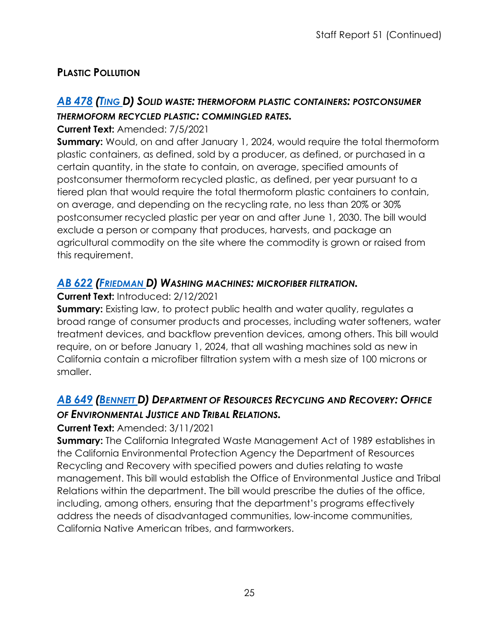## **PLASTIC POLLUTION**

## *AB [478](https://ctweb.capitoltrack.com/public/publishbillinfo.aspx?bi=gwejCYhXqxz5vDWv7hDrZ1h9RktJPbe8F7ijpXLtyb5kPK9NasHEHlGd7cpxV0jq) [\(TING D](https://a19.asmdc.org/)) SOLID WASTE: THERMOFORM PLASTIC CONTAINERS: POSTCONSUMER THERMOFORM RECYCLED PLASTIC: COMMINGLED RATES.*

#### **Current Text:** Amended: 7/5/2021

**Summary:** Would, on and after January 1, 2024, would require the total thermoform plastic containers, as defined, sold by a producer, as defined, or purchased in a certain quantity, in the state to contain, on average, specified amounts of postconsumer thermoform recycled plastic, as defined, per year pursuant to a tiered plan that would require the total thermoform plastic containers to contain, on average, and depending on the recycling rate, no less than 20% or 30% postconsumer recycled plastic per year on and after June 1, 2030. The bill would exclude a person or company that produces, harvests, and package an agricultural commodity on the site where the commodity is grown or raised from this requirement.

#### *AB [622](https://ctweb.capitoltrack.com/public/publishbillinfo.aspx?bi=9YXEGbNli2NZ%2F0anOW6Z5feua8By3Aqmx7Ebx3i1LhuM51SYT7pWmKTSZf6nbRLj) [\(FRIEDMAN D](https://a43.asmdc.org/)) WASHING MACHINES: MICROFIBER FILTRATION.*

#### **Current Text:** Introduced: 2/12/2021

**Summary:** Existing law, to protect public health and water quality, regulates a broad range of consumer products and processes, including water softeners, water treatment devices, and backflow prevention devices, among others. This bill would require, on or before January 1, 2024, that all washing machines sold as new in California contain a microfiber filtration system with a mesh size of 100 microns or smaller.

## *AB [649](https://ctweb.capitoltrack.com/public/publishbillinfo.aspx?bi=F0xf1zcMhty49JqO7epFIAWO1iuAVDByc2j4lAd7NmxMMPfThkSmDKLQyCeiqTL%2F) [\(BENNETT D](https://a37.asmdc.org/)) DEPARTMENT OF RESOURCES RECYCLING AND RECOVERY: OFFICE OF ENVIRONMENTAL JUSTICE AND TRIBAL RELATIONS.*

#### **Current Text:** Amended: 3/11/2021

**Summary:** The California Integrated Waste Management Act of 1989 establishes in the California Environmental Protection Agency the Department of Resources Recycling and Recovery with specified powers and duties relating to waste management. This bill would establish the Office of Environmental Justice and Tribal Relations within the department. The bill would prescribe the duties of the office, including, among others, ensuring that the department's programs effectively address the needs of disadvantaged communities, low-income communities, California Native American tribes, and farmworkers.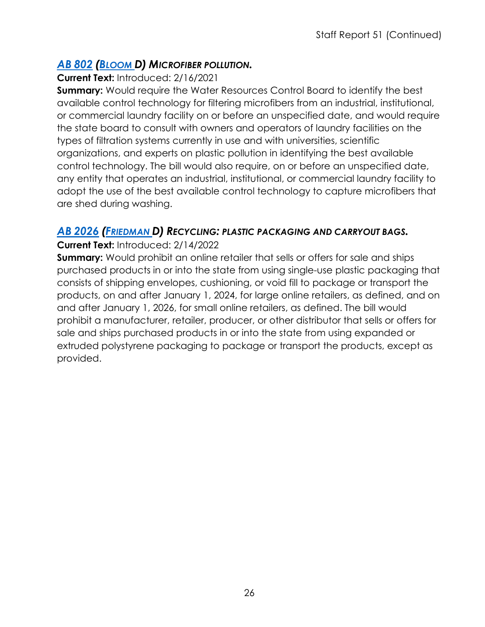## *AB 802 [\(BLOOM D](https://a50.asmdc.org/)) MICROFIBER POLLUTION.*

#### **[Current T](https://ctweb.capitoltrack.com/public/publishbillinfo.aspx?bi=6Mi3Mu%2FKCr662Xn2mvxac882S1xQgFP6YJIvO%2FGGluWVAQinnPeOHhKpNzjI6BgU)ext:** Introduced: 2/16/2021

**Summary:** Would require the Water Resources Control Board to identify the best available control technology for filtering microfibers from an industrial, institutional, or commercial laundry facility on or before an unspecified date, and would require the state board to consult with owners and operators of laundry facilities on the types of filtration systems currently in use and with universities, scientific organizations, and experts on plastic pollution in identifying the best available control technology. The bill would also require, on or before an unspecified date, any entity that operates an industrial, institutional, or commercial laundry facility to adopt the use of the best available control technology to capture microfibers that are shed during washing.

## *AB [2026](https://ctweb.capitoltrack.com/public/publishbillinfo.aspx?bi=QMNkTuGmKTtEpyvJ%2B9DVyf7oI98G6LFojVTCiSJGGiLZhWQ08ZN9BFFuY95vA190) [\(FRIEDMAN D](https://a43.asmdc.org/)) RECYCLING: PLASTIC PACKAGING AND CARRYOUT BAGS.*

#### **Current Text:** Introduced: 2/14/2022

**Summary:** Would prohibit an online retailer that sells or offers for sale and ships purchased products in or into the state from using single-use plastic packaging that consists of shipping envelopes, cushioning, or void fill to package or transport the products, on and after January 1, 2024, for large online retailers, as defined, and on and after January 1, 2026, for small online retailers, as defined. The bill would prohibit a manufacturer, retailer, producer, or other distributor that sells or offers for sale and ships purchased products in or into the state from using expanded or extruded polystyrene packaging to package or transport the products, except as provided.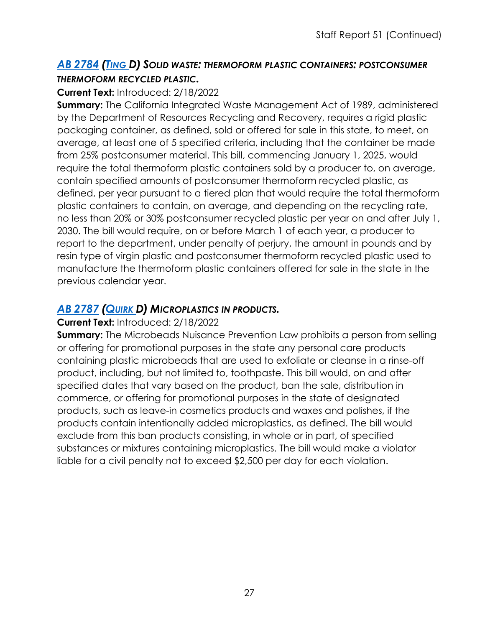#### *AB [2784](https://ctweb.capitoltrack.com/public/publishbillinfo.aspx?bi=j%2FixXw%2FnVEoyiUanu4BpZtWnBoqWwH%2FJ8NrbvYwdimpFw9RVoqjK59GlVbaE7bGm) [\(TING D](https://a19.asmdc.org/)) SOLID WASTE: THERMOFORM PLASTIC CONTAINERS: POSTCONSUMER THERMOFORM RECYCLED PLASTIC.*

#### **Current Text:** Introduced: 2/18/2022

**Summary:** The California Integrated Waste Management Act of 1989, administered by the Department of Resources Recycling and Recovery, requires a rigid plastic packaging container, as defined, sold or offered for sale in this state, to meet, on average, at least one of 5 specified criteria, including that the container be made from 25% postconsumer material. This bill, commencing January 1, 2025, would require the total thermoform plastic containers sold by a producer to, on average, contain specified amounts of postconsumer thermoform recycled plastic, as defined, per year pursuant to a tiered plan that would require the total thermoform plastic containers to contain, on average, and depending on the recycling rate, no less than 20% or 30% postconsumer recycled plastic per year on and after July 1, 2030. The bill would require, on or before March 1 of each year, a producer to report to the department, under penalty of perjury, the amount in pounds and by resin type of virgin plastic and postconsumer thermoform recycled plastic used to manufacture the thermoform plastic containers offered for sale in the state in the previous calendar year.

#### *AB [2787](https://ctweb.capitoltrack.com/public/publishbillinfo.aspx?bi=j%2FixXw%2FnVEoyiUanu4BpZg4fjPOIT78xjcpgeWb54h2PQB3Y5Xu51OFo%2FOTDlPBy) [\(QUIRK D](https://a20.asmdc.org/)) MICROPLASTICS IN PRODUCTS.*

#### **Current Text:** Introduced: 2/18/2022

**Summary:** The Microbeads Nuisance Prevention Law prohibits a person from selling or offering for promotional purposes in the state any personal care products containing plastic microbeads that are used to exfoliate or cleanse in a rinse-off product, including, but not limited to, toothpaste. This bill would, on and after specified dates that vary based on the product, ban the sale, distribution in commerce, or offering for promotional purposes in the state of designated products, such as leave-in cosmetics products and waxes and polishes, if the products contain intentionally added microplastics, as defined. The bill would exclude from this ban products consisting, in whole or in part, of specified substances or mixtures containing microplastics. The bill would make a violator liable for a civil penalty not to exceed \$2,500 per day for each violation.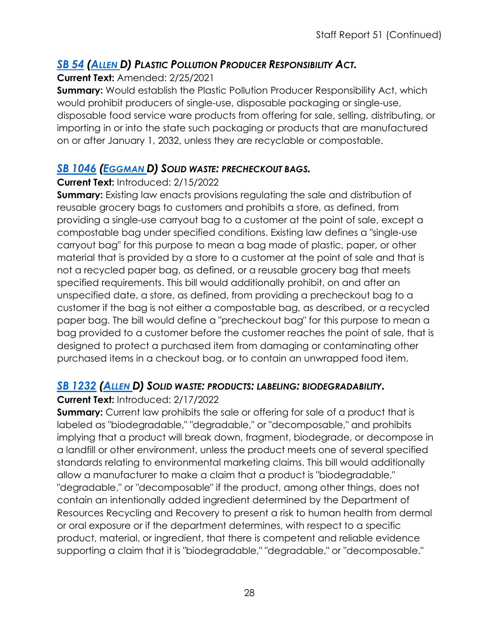## *SB 54 [\(ALLEN D](http://sd26.senate.ca.gov/)) PLASTIC POLLUTION PRODUCER RESPONSIBILITY ACT.*

#### **[Curren](https://ctweb.capitoltrack.com/public/publishbillinfo.aspx?bi=%2FmI%2B8PSAvhHqloxnv5LdpyQop1iS2pvEcknJ09BtnDtOd7LnVqfLNZ4UtiWHECM9)t Text:** Amended: 2/25/2021

**Summary:** Would establish the Plastic Pollution Producer Responsibility Act, which would prohibit producers of single-use, disposable packaging or single-use, disposable food service ware products from offering for sale, selling, distributing, or importing in or into the state such packaging or products that are manufactured on or after January 1, 2032, unless they are recyclable or compostable.

#### *SB [1046](https://ctweb.capitoltrack.com/public/publishbillinfo.aspx?bi=e%2ByVS7C%2BbiEsIQq2oimExSUQSnXnOxbE%2BEqsxHQH15FPk7Brwr0E6AForPyu3quq) [\(EGGMAN D](http://sd05.senate.ca.gov/)) SOLID WASTE: PRECHECKOUT BAGS.*

#### **Current Text:** Introduced: 2/15/2022

**Summary:** Existing law enacts provisions regulating the sale and distribution of reusable grocery bags to customers and prohibits a store, as defined, from providing a single-use carryout bag to a customer at the point of sale, except a compostable bag under specified conditions. Existing law defines a "single-use carryout bag" for this purpose to mean a bag made of plastic, paper, or other material that is provided by a store to a customer at the point of sale and that is not a recycled paper bag, as defined, or a reusable grocery bag that meets specified requirements. This bill would additionally prohibit, on and after an unspecified date, a store, as defined, from providing a precheckout bag to a customer if the bag is not either a compostable bag, as described, or a recycled paper bag. The bill would define a "precheckout bag" for this purpose to mean a bag provided to a customer before the customer reaches the point of sale, that is designed to protect a purchased item from damaging or contaminating other purchased items in a checkout bag, or to contain an unwrapped food item.

#### *SB [1232](https://ctweb.capitoltrack.com/public/publishbillinfo.aspx?bi=oc1OpKF4J%2B0QeLQ9Bl103EncvRe5W2XituZgHT7j2UApqTupmQAsjyAFy1d2XDiO) [\(ALLEN D](http://sd26.senate.ca.gov/)) SOLID WASTE: PRODUCTS: LABELING: BIODEGRADABILITY.*

#### **Current Text:** Introduced: 2/17/2022

**Summary:** Current law prohibits the sale or offering for sale of a product that is labeled as "biodegradable," "degradable," or "decomposable," and prohibits implying that a product will break down, fragment, biodegrade, or decompose in a landfill or other environment, unless the product meets one of several specified standards relating to environmental marketing claims. This bill would additionally allow a manufacturer to make a claim that a product is "biodegradable," "degradable," or "decomposable" if the product, among other things, does not contain an intentionally added ingredient determined by the Department of Resources Recycling and Recovery to present a risk to human health from dermal or oral exposure or if the department determines, with respect to a specific product, material, or ingredient, that there is competent and reliable evidence supporting a claim that it is "biodegradable," "degradable," or "decomposable."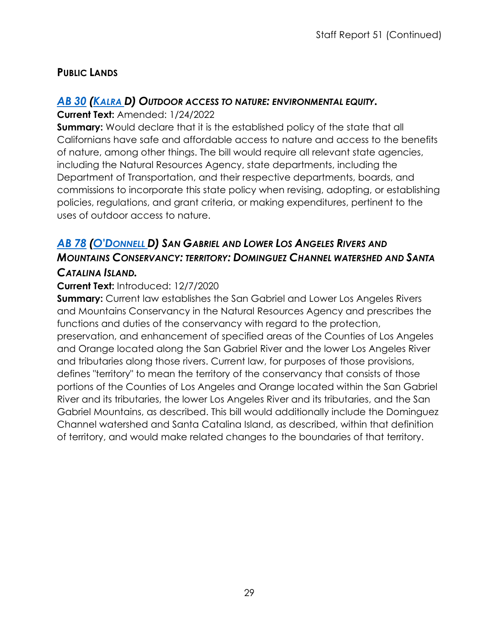## **PUBLIC LANDS**

## *[AB](https://ctweb.capitoltrack.com/public/publishbillinfo.aspx?bi=hvKwiHQJL1wvvh3M0TwGO8OUKGhOg2iOObX3JbWNcEqDDzOWIzO3T6%2BnF47RwAuc) 30 [\(KALRA D](https://a27.asmdc.org/)) OUTDOOR ACCESS TO NATURE: ENVIRONMENTAL EQUITY.*

#### **Current Text:** Amended: 1/24/2022

**Summary:** Would declare that it is the established policy of the state that all Californians have safe and affordable access to nature and access to the benefits of nature, among other things. The bill would require all relevant state agencies, including the Natural Resources Agency, state departments, including the Department of Transportation, and their respective departments, boards, and commissions to incorporate this state policy when revising, adopting, or establishing policies, regulations, and grant criteria, or making expenditures, pertinent to the uses of outdoor access to nature.

## *[AB](https://ctweb.capitoltrack.com/public/publishbillinfo.aspx?bi=dHon1U5cwuMRlWGV4fIoauToVUZl1%2B8OSkapps%2FfsDZr3Gkj%2FtI7iCl6WgIfPvlK) 78 [\(O'DONNELL D](https://a70.asmdc.org/)) SAN GABRIEL AND LOWER LOS ANGELES RIVERS AND MOUNTAINS CONSERVANCY: TERRITORY: DOMINGUEZ CHANNEL WATERSHED AND SANTA CATALINA ISLAND.*

#### **Current Text:** Introduced: 12/7/2020

**Summary:** Current law establishes the San Gabriel and Lower Los Angeles Rivers and Mountains Conservancy in the Natural Resources Agency and prescribes the functions and duties of the conservancy with regard to the protection, preservation, and enhancement of specified areas of the Counties of Los Angeles and Orange located along the San Gabriel River and the lower Los Angeles River and tributaries along those rivers. Current law, for purposes of those provisions, defines "territory" to mean the territory of the conservancy that consists of those portions of the Counties of Los Angeles and Orange located within the San Gabriel River and its tributaries, the lower Los Angeles River and its tributaries, and the San Gabriel Mountains, as described. This bill would additionally include the Dominguez Channel watershed and Santa Catalina Island, as described, within that definition of territory, and would make related changes to the boundaries of that territory.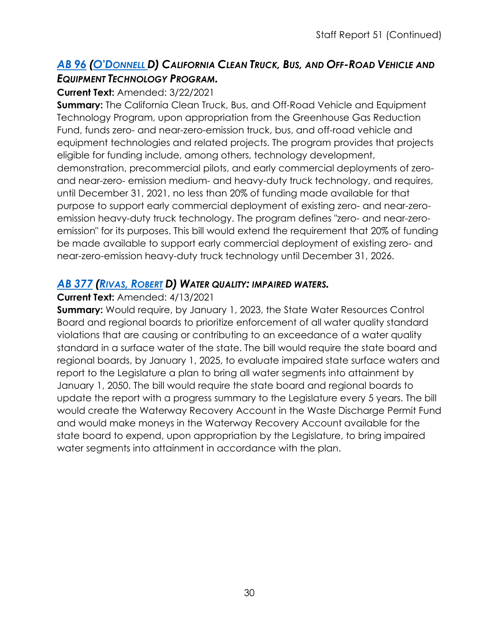## *AB 96 [\(O'DONNELL D](https://a70.asmdc.org/)) CALIFORNIA CLEAN TRUCK, BUS, AND OFF-ROAD VEHICLE AND [EQUIPM](https://ctweb.capitoltrack.com/public/publishbillinfo.aspx?bi=7CIcM9TMEgmRAbhQbHe%2BJYZ9YLho9QQDgasrSqh6usE1hgR%2B3Vamw6EZt4ChOxFr)ENT TECHNOLOGY PROGRAM.*

#### **Current Text:** Amended: 3/22/2021

**Summary:** The California Clean Truck, Bus, and Off-Road Vehicle and Equipment Technology Program, upon appropriation from the Greenhouse Gas Reduction Fund, funds zero- and near-zero-emission truck, bus, and off-road vehicle and equipment technologies and related projects. The program provides that projects eligible for funding include, among others, technology development, demonstration, precommercial pilots, and early commercial deployments of zeroand near-zero- emission medium- and heavy-duty truck technology, and requires, until December 31, 2021, no less than 20% of funding made available for that purpose to support early commercial deployment of existing zero- and near-zeroemission heavy-duty truck technology. The program defines "zero- and near-zeroemission" for its purposes. This bill would extend the requirement that 20% of funding be made available to support early commercial deployment of existing zero- and near-zero-emission heavy-duty truck technology until December 31, 2026.

## *AB [377](https://ctweb.capitoltrack.com/public/publishbillinfo.aspx?bi=agTf0nJ%2Bvgq7tNQV%2FyX0nsSefNmK2zlsArQT50E9Fi9rx%2Fpoing47L%2BdTLuawW4Z) (RIVAS, [ROBERT](https://a30.asmdc.org/) D) WATER QUALITY: IMPAIRED WATERS.*

#### **Current Text:** Amended: 4/13/2021

**Summary:** Would require, by January 1, 2023, the State Water Resources Control Board and regional boards to prioritize enforcement of all water quality standard violations that are causing or contributing to an exceedance of a water quality standard in a surface water of the state. The bill would require the state board and regional boards, by January 1, 2025, to evaluate impaired state surface waters and report to the Legislature a plan to bring all water segments into attainment by January 1, 2050. The bill would require the state board and regional boards to update the report with a progress summary to the Legislature every 5 years. The bill would create the Waterway Recovery Account in the Waste Discharge Permit Fund and would make moneys in the Waterway Recovery Account available for the state board to expend, upon appropriation by the Legislature, to bring impaired water segments into attainment in accordance with the plan.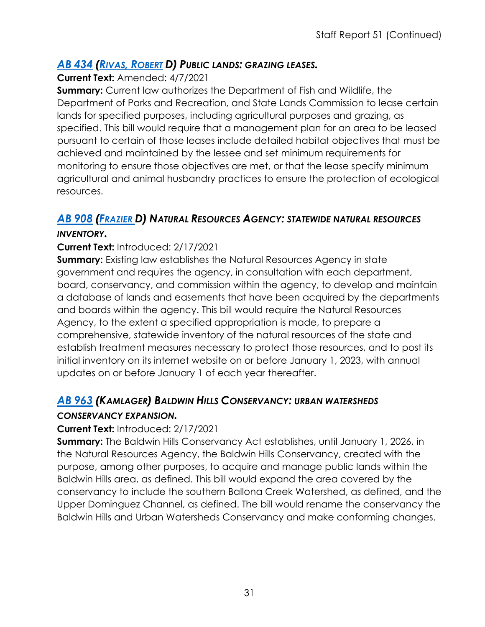## *AB 434 (RIVAS, [ROBERT](https://a30.asmdc.org/) D) PUBLIC LANDS: GRAZING LEASES.*

#### **[Current T](https://ctweb.capitoltrack.com/public/publishbillinfo.aspx?bi=hmWyTKpK1%2FQ1k%2BlfMPezD%2B7MBlZYflX8Smw4aJP0g6atdTa66jKdhRTYuRg8VsLe)ext:** Amended: 4/7/2021

**Summary:** Current law authorizes the Department of Fish and Wildlife, the Department of Parks and Recreation, and State Lands Commission to lease certain lands for specified purposes, including agricultural purposes and grazing, as specified. This bill would require that a management plan for an area to be leased pursuant to certain of those leases include detailed habitat objectives that must be achieved and maintained by the lessee and set minimum requirements for monitoring to ensure those objectives are met, or that the lease specify minimum agricultural and animal husbandry practices to ensure the protection of ecological resources.

## *AB [908](https://ctweb.capitoltrack.com/public/publishbillinfo.aspx?bi=QZJpkdd9NkMV7yRjNK%2BVEs73tOOsKHsi1XtFMKZfIWEAItfUGbBsnu0HltnAEykg) [\(FRAZIER D](https://a11.asmdc.org/)) NATURAL RESOURCES AGENCY: STATEWIDE NATURAL RESOURCES*

#### *INVENTORY.*

## **Current Text:** Introduced: 2/17/2021

**Summary:** Existing law establishes the Natural Resources Agency in state government and requires the agency, in consultation with each department, board, conservancy, and commission within the agency, to develop and maintain a database of lands and easements that have been acquired by the departments and boards within the agency. This bill would require the Natural Resources Agency, to the extent a specified appropriation is made, to prepare a comprehensive, statewide inventory of the natural resources of the state and establish treatment measures necessary to protect those resources, and to post its initial inventory on its internet website on or before January 1, 2023, with annual updates on or before January 1 of each year thereafter.

## *AB [963](https://ctweb.capitoltrack.com/public/publishbillinfo.aspx?bi=icudPa0%2FsXN7IGeSsjESKFS%2BcD9iFgFE9FKu5IDPUK85haC0R0tnRr1He5UJCZwV) (KAMLAGER) BALDWIN HILLS CONSERVANCY: URBAN WATERSHEDS*

#### *CONSERVANCY EXPANSION.*

#### **Current Text:** Introduced: 2/17/2021

**Summary:** The Baldwin Hills Conservancy Act establishes, until January 1, 2026, in the Natural Resources Agency, the Baldwin Hills Conservancy, created with the purpose, among other purposes, to acquire and manage public lands within the Baldwin Hills area, as defined. This bill would expand the area covered by the conservancy to include the southern Ballona Creek Watershed, as defined, and the Upper Dominguez Channel, as defined. The bill would rename the conservancy the Baldwin Hills and Urban Watersheds Conservancy and make conforming changes.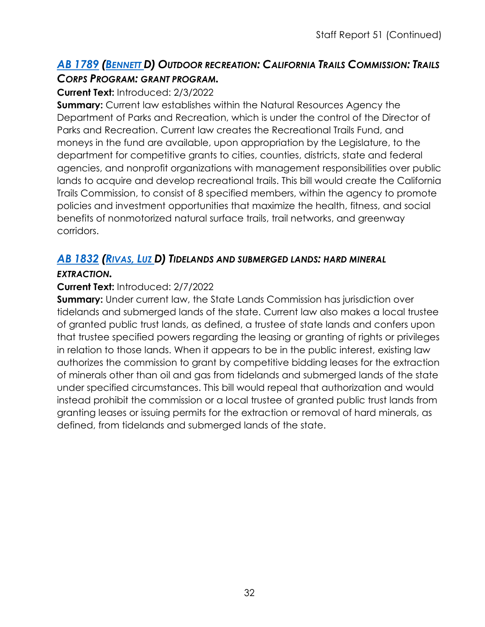## *AB [1789](https://ctweb.capitoltrack.com/public/publishbillinfo.aspx?bi=DLd6AvjYZwK1SUejVmulLOtxbyd9iG82sfIO23bLzRTYlMLCnULlVFGQwhNpasXM) [\(BENNETT D](https://a37.asmdc.org/)) OUTDOOR RECREATION: CALIFORNIA TRAILS COMMISSION: TRAILS CORPS PROGRAM: GRANT PROGRAM.*

#### **Current Text:** Introduced: 2/3/2022

**Summary:** Current law establishes within the Natural Resources Agency the Department of Parks and Recreation, which is under the control of the Director of Parks and Recreation. Current law creates the Recreational Trails Fund, and moneys in the fund are available, upon appropriation by the Legislature, to the department for competitive grants to cities, counties, districts, state and federal agencies, and nonprofit organizations with management responsibilities over public lands to acquire and develop recreational trails. This bill would create the California Trails Commission, to consist of 8 specified members, within the agency to promote policies and investment opportunities that maximize the health, fitness, and social benefits of nonmotorized natural surface trails, trail networks, and greenway corridors.

## *AB [1832](https://ctweb.capitoltrack.com/public/publishbillinfo.aspx?bi=L%2Ff8SSSCq78HEKHYfkpgJuyPkQ%2Bsbi9zlIPdLwMJM%2FT0BOYAj8ZrQtRDcJwJUHEg) [\(RIVAS,](https://a39.asmdc.org/) LUZ D) TIDELANDS AND SUBMERGED LANDS: HARD MINERAL*

#### *EXTRACTION.*

#### **Current Text:** Introduced: 2/7/2022

**Summary:** Under current law, the State Lands Commission has jurisdiction over tidelands and submerged lands of the state. Current law also makes a local trustee of granted public trust lands, as defined, a trustee of state lands and confers upon that trustee specified powers regarding the leasing or granting of rights or privileges in relation to those lands. When it appears to be in the public interest, existing law authorizes the commission to grant by competitive bidding leases for the extraction of minerals other than oil and gas from tidelands and submerged lands of the state under specified circumstances. This bill would repeal that authorization and would instead prohibit the commission or a local trustee of granted public trust lands from granting leases or issuing permits for the extraction or removal of hard minerals, as defined, from tidelands and submerged lands of the state.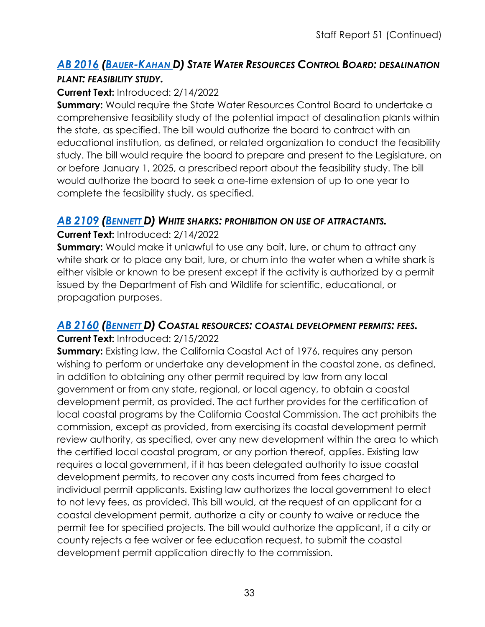#### *AB [2016](https://ctweb.capitoltrack.com/public/publishbillinfo.aspx?bi=VtyjRzEFp%2FJqOyqNCln0RLtd%2BHOakO5oqxFP9TNL2HY0FmsUJxDaOwHOXzbWXbtR) [\(BAUER-KAHAN D](https://a16.asmdc.org/)) STATE WATER RESOURCES CONTROL BOARD: DESALINATION PLANT: FEASIBILITY STUDY.*

#### **Current Text:** Introduced: 2/14/2022

**Summary:** Would require the State Water Resources Control Board to undertake a comprehensive feasibility study of the potential impact of desalination plants within the state, as specified. The bill would authorize the board to contract with an educational institution, as defined, or related organization to conduct the feasibility study. The bill would require the board to prepare and present to the Legislature, on or before January 1, 2025, a prescribed report about the feasibility study. The bill would authorize the board to seek a one-time extension of up to one year to complete the feasibility study, as specified.

#### *AB [2109](https://ctweb.capitoltrack.com/public/publishbillinfo.aspx?bi=BkmB16SizlWq5d8daG8n8%2FyP0CdHcYqs2ku2W0z8GVLt44HPc2%2BrxJcfGDRIXgaZ) [\(BENNETT D](https://a37.asmdc.org/)) WHITE SHARKS: PROHIBITION ON USE OF ATTRACTANTS.*

**Current Text:** Introduced: 2/14/2022

**Summary:** Would make it unlawful to use any bait, lure, or chum to attract any white shark or to place any bait, lure, or chum into the water when a white shark is either visible or known to be present except if the activity is authorized by a permit issued by the Department of Fish and Wildlife for scientific, educational, or propagation purposes.

#### *AB [2160](https://ctweb.capitoltrack.com/public/publishbillinfo.aspx?bi=QfDeN1WKsmnFJZ8flQ0PXkYLtJSGxIRwaj4bWbd5nf%2FWQw5RWQv0PHjwHfcq1EL9) [\(BENNETT D](https://a37.asmdc.org/)) COASTAL RESOURCES: COASTAL DEVELOPMENT PERMITS: FEES.*

**Current Text:** Introduced: 2/15/2022

**Summary:** Existing law, the California Coastal Act of 1976, requires any person wishing to perform or undertake any development in the coastal zone, as defined, in addition to obtaining any other permit required by law from any local government or from any state, regional, or local agency, to obtain a coastal development permit, as provided. The act further provides for the certification of local coastal programs by the California Coastal Commission. The act prohibits the commission, except as provided, from exercising its coastal development permit review authority, as specified, over any new development within the area to which the certified local coastal program, or any portion thereof, applies. Existing law requires a local government, if it has been delegated authority to issue coastal development permits, to recover any costs incurred from fees charged to individual permit applicants. Existing law authorizes the local government to elect to not levy fees, as provided. This bill would, at the request of an applicant for a coastal development permit, authorize a city or county to waive or reduce the permit fee for specified projects. The bill would authorize the applicant, if a city or county rejects a fee waiver or fee education request, to submit the coastal development permit application directly to the commission.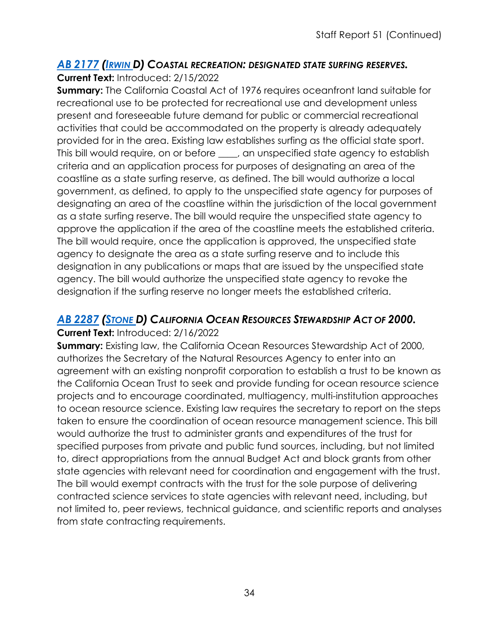## *AB [2177](https://ctweb.capitoltrack.com/public/publishbillinfo.aspx?bi=Uua7XPQwLgYL6LCxZ3rDzTwTeOWjNDEaGQ3JByyNGSzk%2Fyj7IM21%2Fo0JYAnWWY3v) [\(IRWIN D](https://a44.asmdc.org/)) COASTAL RECREATION: DESIGNATED STATE SURFING RESERVES.*

**Current Text:** Introduced: 2/15/2022

**Summary:** The California Coastal Act of 1976 requires oceanfront land suitable for recreational use to be protected for recreational use and development unless present and foreseeable future demand for public or commercial recreational activities that could be accommodated on the property is already adequately provided for in the area. Existing law establishes surfing as the official state sport. This bill would require, on or before , an unspecified state agency to establish criteria and an application process for purposes of designating an area of the coastline as a state surfing reserve, as defined. The bill would authorize a local government, as defined, to apply to the unspecified state agency for purposes of designating an area of the coastline within the jurisdiction of the local government as a state surfing reserve. The bill would require the unspecified state agency to approve the application if the area of the coastline meets the established criteria. The bill would require, once the application is approved, the unspecified state agency to designate the area as a state surfing reserve and to include this designation in any publications or maps that are issued by the unspecified state agency. The bill would authorize the unspecified state agency to revoke the designation if the surfing reserve no longer meets the established criteria.

## *AB [2287](https://ctweb.capitoltrack.com/public/publishbillinfo.aspx?bi=tOAKk70axqNl9AQyQ0bTut%2BYHo6p5nRl7tD8FMM6WjfTuq5KZx7wQ4r1Dfj41wi1) [\(STONE D](https://a29.asmdc.org/)) CALIFORNIA OCEAN RESOURCES STEWARDSHIP ACT OF 2000.*

#### **Current Text:** Introduced: 2/16/2022

**Summary:** Existing law, the California Ocean Resources Stewardship Act of 2000, authorizes the Secretary of the Natural Resources Agency to enter into an agreement with an existing nonprofit corporation to establish a trust to be known as the California Ocean Trust to seek and provide funding for ocean resource science projects and to encourage coordinated, multiagency, multi-institution approaches to ocean resource science. Existing law requires the secretary to report on the steps taken to ensure the coordination of ocean resource management science. This bill would authorize the trust to administer grants and expenditures of the trust for specified purposes from private and public fund sources, including, but not limited to, direct appropriations from the annual Budget Act and block grants from other state agencies with relevant need for coordination and engagement with the trust. The bill would exempt contracts with the trust for the sole purpose of delivering contracted science services to state agencies with relevant need, including, but not limited to, peer reviews, technical guidance, and scientific reports and analyses from state contracting requirements.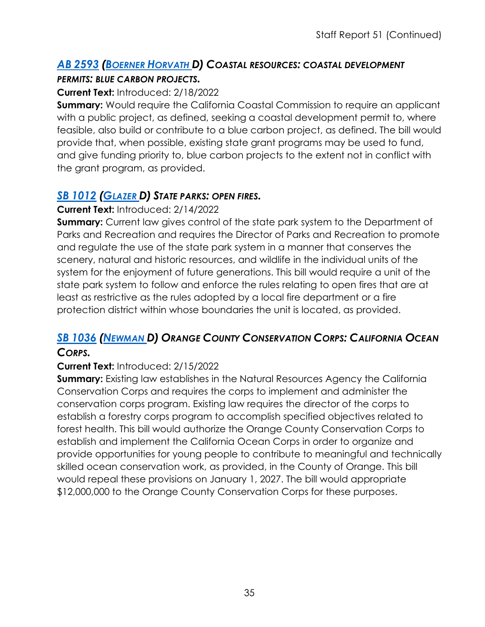#### *AB [2593](https://ctweb.capitoltrack.com/public/publishbillinfo.aspx?bi=EQKnISm2BD7PlgxLfKzAGeqk7cF83GHdTh7KBCcvbchioQ1sgdtIynNp%2FypEoChb) [\(BOERNER HORVATH D](https://a76.asmdc.org/)) COASTAL RESOURCES: COASTAL DEVELOPMENT PERMITS: BLUE CARBON PROJECTS.*

#### **Current Text:** Introduced: 2/18/2022

**Summary:** Would require the California Coastal Commission to require an applicant with a public project, as defined, seeking a coastal development permit to, where feasible, also build or contribute to a blue carbon project, as defined. The bill would provide that, when possible, existing state grant programs may be used to fund, and give funding priority to, blue carbon projects to the extent not in conflict with the grant program, as provided.

## *SB [1012](https://ctweb.capitoltrack.com/public/publishbillinfo.aspx?bi=%2F96Ijv9zfgIjlL34Me80IK28GvPLgRo1GuUeN41SAdykc850KBw50y3QtNozlfI5) [\(GLAZER D](http://sd07.senate.ca.gov/)) STATE PARKS: OPEN FIRES.*

#### **Current Text:** Introduced: 2/14/2022

**Summary:** Current law gives control of the state park system to the Department of Parks and Recreation and requires the Director of Parks and Recreation to promote and regulate the use of the state park system in a manner that conserves the scenery, natural and historic resources, and wildlife in the individual units of the system for the enjoyment of future generations. This bill would require a unit of the state park system to follow and enforce the rules relating to open fires that are at least as restrictive as the rules adopted by a local fire department or a fire protection district within whose boundaries the unit is located, as provided.

## *SB [1036](https://ctweb.capitoltrack.com/public/publishbillinfo.aspx?bi=ub3TU0Q37Cx6ashCV1IkZv9csNjot48DttUcT03Z6Dis6gBIyB9X%2FbqnsODwAk0B) [\(NEWMAN D](https://sd29.senate.ca.gov/)) ORANGE COUNTY CONSERVATION CORPS: CALIFORNIA OCEAN CORPS.*

#### **Current Text:** Introduced: 2/15/2022

**Summary:** Existing law establishes in the Natural Resources Agency the California Conservation Corps and requires the corps to implement and administer the conservation corps program. Existing law requires the director of the corps to establish a forestry corps program to accomplish specified objectives related to forest health. This bill would authorize the Orange County Conservation Corps to establish and implement the California Ocean Corps in order to organize and provide opportunities for young people to contribute to meaningful and technically skilled ocean conservation work, as provided, in the County of Orange. This bill would repeal these provisions on January 1, 2027. The bill would appropriate \$12,000,000 to the Orange County Conservation Corps for these purposes.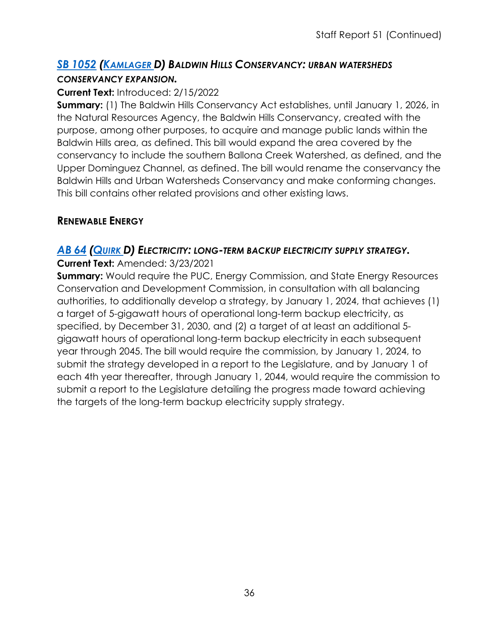## *SB [1052](https://ctweb.capitoltrack.com/public/publishbillinfo.aspx?bi=SsT4YysUR%2Fq3Y79FSEF482x0jv7sfujnLFUY0rXUDlJrxLqvWaejmXTC7kXyrT0s) [\(KAMLAGER D](https://sd30.senate.ca.gov/)) BALDWIN HILLS CONSERVANCY: URBAN WATERSHEDS CONSERVANCY EXPANSION.*

#### **Current Text:** Introduced: 2/15/2022

**Summary:** (1) The Baldwin Hills Conservancy Act establishes, until January 1, 2026, in the Natural Resources Agency, the Baldwin Hills Conservancy, created with the purpose, among other purposes, to acquire and manage public lands within the Baldwin Hills area, as defined. This bill would expand the area covered by the conservancy to include the southern Ballona Creek Watershed, as defined, and the Upper Dominguez Channel, as defined. The bill would rename the conservancy the Baldwin Hills and Urban Watersheds Conservancy and make conforming changes. This bill contains other related provisions and other existing laws.

## **RENEWABLE ENERGY**

## *[AB](https://ctweb.capitoltrack.com/public/publishbillinfo.aspx?bi=MS5na8o7f05U978vhcmnLpGOaobgpeAFUWnL2M69LlpYUPE7bOf0%2FfA46yjWiaLS) 64 [\(QUIRK D](https://a20.asmdc.org/)) ELECTRICITY: LONG-TERM BACKUP ELECTRICITY SUPPLY STRATEGY.*

#### **Current Text:** Amended: 3/23/2021

**Summary:** Would require the PUC, Energy Commission, and State Energy Resources Conservation and Development Commission, in consultation with all balancing authorities, to additionally develop a strategy, by January 1, 2024, that achieves (1) a target of 5-gigawatt hours of operational long-term backup electricity, as specified, by December 31, 2030, and (2) a target of at least an additional 5 gigawatt hours of operational long-term backup electricity in each subsequent year through 2045. The bill would require the commission, by January 1, 2024, to submit the strategy developed in a report to the Legislature, and by January 1 of each 4th year thereafter, through January 1, 2044, would require the commission to submit a report to the Legislature detailing the progress made toward achieving the targets of the long-term backup electricity supply strategy.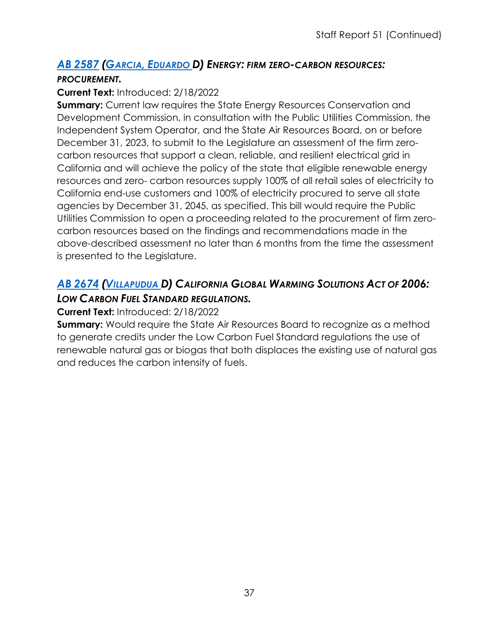#### *AB [2587](https://ctweb.capitoltrack.com/public/publishbillinfo.aspx?bi=X4Gb4EMzdToJ34I4xlvYZLIxZWP8qgEWvcD1Eup3ZDDsSiYQnvVJa678PPaMA5a8) (GARCIA, [EDUARDO D](https://a56.asmdc.org/)) ENERGY: FIRM ZERO-CARBON RESOURCES:*

#### *PROCUREMENT.*

#### **Current Text:** Introduced: 2/18/2022

**Summary:** Current law requires the State Energy Resources Conservation and Development Commission, in consultation with the Public Utilities Commission, the Independent System Operator, and the State Air Resources Board, on or before December 31, 2023, to submit to the Legislature an assessment of the firm zerocarbon resources that support a clean, reliable, and resilient electrical grid in California and will achieve the policy of the state that eligible renewable energy resources and zero- carbon resources supply 100% of all retail sales of electricity to California end-use customers and 100% of electricity procured to serve all state agencies by December 31, 2045, as specified. This bill would require the Public Utilities Commission to open a proceeding related to the procurement of firm zerocarbon resources based on the findings and recommendations made in the above-described assessment no later than 6 months from the time the assessment is presented to the Legislature.

## *AB [2674](https://ctweb.capitoltrack.com/public/publishbillinfo.aspx?bi=FG5ZKrbvXlugJzwV%2BdITi4O9fWVhq4%2FSZeqkUWQgS3aHqTRjqYYe2cS1GUqnJGDv) [\(VILLAPUDUA D](https://a13.asmdc.org/)) CALIFORNIA GLOBAL WARMING SOLUTIONS ACT OF 2006: LOW CARBON FUEL STANDARD REGULATIONS.*

#### **Current Text:** Introduced: 2/18/2022

**Summary:** Would require the State Air Resources Board to recognize as a method to generate credits under the Low Carbon Fuel Standard regulations the use of renewable natural gas or biogas that both displaces the existing use of natural gas and reduces the carbon intensity of fuels.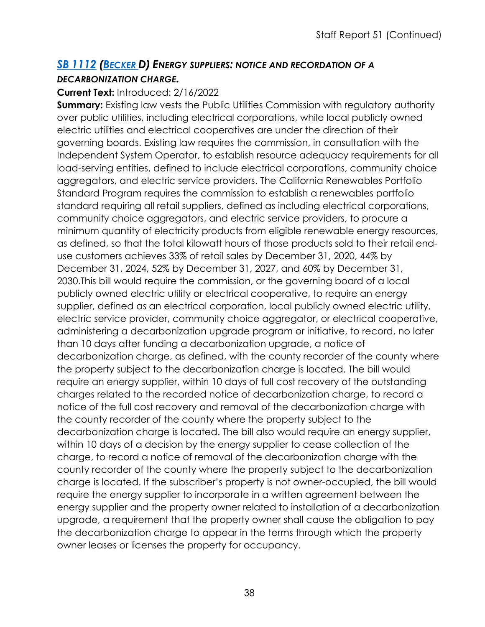## *SB [1112](https://ctweb.capitoltrack.com/public/publishbillinfo.aspx?bi=KjptAkwONCNsTehFF1a2ZWUTS0nwwo1Bg05s4Py8PQ3ytz7bDQRNqmGi4tVLj5FO) [\(BECKER D](http://sd13.senate.ca.gov/)) ENERGY SUPPLIERS: NOTICE AND RECORDATION OF A DECARBONIZATION CHARGE.*

#### **Current Text:** Introduced: 2/16/2022

**Summary:** Existing law vests the Public Utilities Commission with regulatory authority over public utilities, including electrical corporations, while local publicly owned electric utilities and electrical cooperatives are under the direction of their governing boards. Existing law requires the commission, in consultation with the Independent System Operator, to establish resource adequacy requirements for all load-serving entities, defined to include electrical corporations, community choice aggregators, and electric service providers. The California Renewables Portfolio Standard Program requires the commission to establish a renewables portfolio standard requiring all retail suppliers, defined as including electrical corporations, community choice aggregators, and electric service providers, to procure a minimum quantity of electricity products from eligible renewable energy resources, as defined, so that the total kilowatt hours of those products sold to their retail enduse customers achieves 33% of retail sales by December 31, 2020, 44% by December 31, 2024, 52% by December 31, 2027, and 60% by December 31, 2030.This bill would require the commission, or the governing board of a local publicly owned electric utility or electrical cooperative, to require an energy supplier, defined as an electrical corporation, local publicly owned electric utility, electric service provider, community choice aggregator, or electrical cooperative, administering a decarbonization upgrade program or initiative, to record, no later than 10 days after funding a decarbonization upgrade, a notice of decarbonization charge, as defined, with the county recorder of the county where the property subject to the decarbonization charge is located. The bill would require an energy supplier, within 10 days of full cost recovery of the outstanding charges related to the recorded notice of decarbonization charge, to record a notice of the full cost recovery and removal of the decarbonization charge with the county recorder of the county where the property subject to the decarbonization charge is located. The bill also would require an energy supplier, within 10 days of a decision by the energy supplier to cease collection of the charge, to record a notice of removal of the decarbonization charge with the county recorder of the county where the property subject to the decarbonization charge is located. If the subscriber's property is not owner-occupied, the bill would require the energy supplier to incorporate in a written agreement between the energy supplier and the property owner related to installation of a decarbonization upgrade, a requirement that the property owner shall cause the obligation to pay the decarbonization charge to appear in the terms through which the property owner leases or licenses the property for occupancy.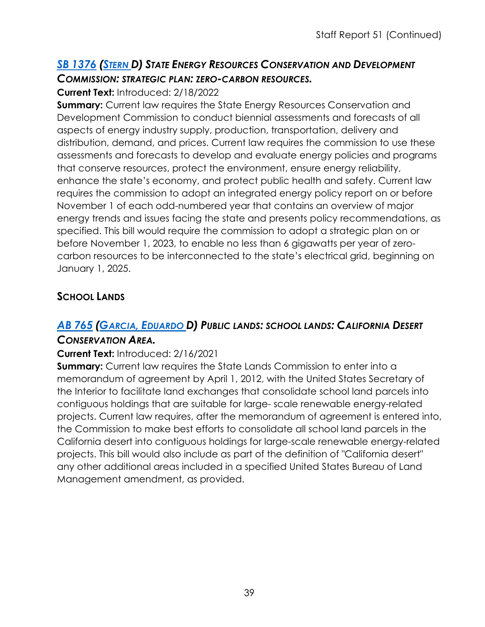## *SB [1376](https://ctweb.capitoltrack.com/public/publishbillinfo.aspx?bi=sTaioSBmOPXtiBLdSaGakiQs2HyoO8FSjVyUmltvPKvZAAz2zIip1S%2Bd8IaFb2vu) [\(STERN D](http://sd27.senate.ca.gov/)) STATE ENERGY RESOURCES CONSERVATION AND DEVELOPMENT COMMISSION: STRATEGIC PLAN: ZERO-CARBON RESOURCES.*

#### **Current Text:** Introduced: 2/18/2022

**Summary:** Current law requires the State Energy Resources Conservation and Development Commission to conduct biennial assessments and forecasts of all aspects of energy industry supply, production, transportation, delivery and distribution, demand, and prices. Current law requires the commission to use these assessments and forecasts to develop and evaluate energy policies and programs that conserve resources, protect the environment, ensure energy reliability, enhance the state's economy, and protect public health and safety. Current law requires the commission to adopt an integrated energy policy report on or before November 1 of each odd-numbered year that contains an overview of major energy trends and issues facing the state and presents policy recommendations, as specified. This bill would require the commission to adopt a strategic plan on or before November 1, 2023, to enable no less than 6 gigawatts per year of zerocarbon resources to be interconnected to the state's electrical grid, beginning on January 1, 2025.

## **SCHOOL LANDS**

## *AB [765](https://ctweb.capitoltrack.com/public/publishbillinfo.aspx?bi=BHNtf16Ml9XIT1dpD7l%2BhnpC0ChWR0djbKtPnWQ8TGgWuEua5HLdRoNWnSBZrC82) (GARCIA, [EDUARDO D](https://a56.asmdc.org/)) PUBLIC LANDS: SCHOOL LANDS: CALIFORNIA DESERT*

#### *CONSERVATION AREA.*

#### **Current Text:** Introduced: 2/16/2021

**Summary:** Current law requires the State Lands Commission to enter into a memorandum of agreement by April 1, 2012, with the United States Secretary of the Interior to facilitate land exchanges that consolidate school land parcels into contiguous holdings that are suitable for large- scale renewable energy-related projects. Current law requires, after the memorandum of agreement is entered into, the Commission to make best efforts to consolidate all school land parcels in the California desert into contiguous holdings for large-scale renewable energy-related projects. This bill would also include as part of the definition of "California desert" any other additional areas included in a specified United States Bureau of Land Management amendment, as provided.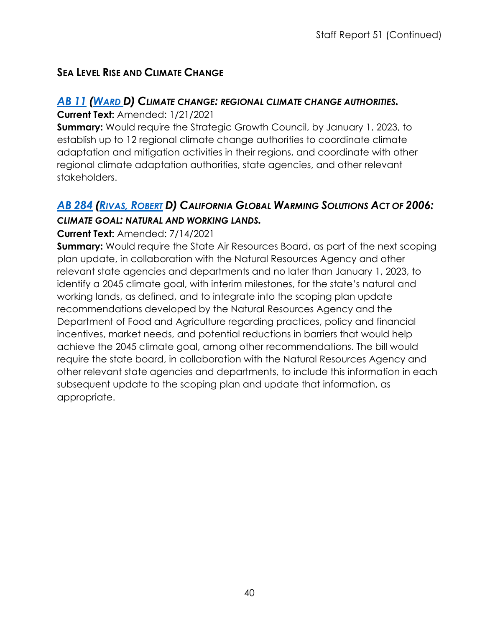## **SEA LEVEL RISE AND CLIMATE CHANGE**

## *[AB](https://ctweb.capitoltrack.com/public/publishbillinfo.aspx?bi=fnb%2BEeXJ%2F8%2FW521KbgzUUDE%2Flh5SReJbeBL3%2FOVtOd0soKU%2Bs%2FMgIpB4oCGTmhHI) 11 [\(WARD D](https://a78.asmdc.org/)) CLIMATE CHANGE: REGIONAL CLIMATE CHANGE AUTHORITIES.*

**Current Text:** Amended: 1/21/2021

**Summary:** Would require the Strategic Growth Council, by January 1, 2023, to establish up to 12 regional climate change authorities to coordinate climate adaptation and mitigation activities in their regions, and coordinate with other regional climate adaptation authorities, state agencies, and other relevant stakeholders.

## *AB [284](https://ctweb.capitoltrack.com/public/publishbillinfo.aspx?bi=eKbGPVikqiH5lPDGMnyiLSwKO69hxz9w12VSlKdHpBJe2Xvmn2i%2B7Dk4MMEira9%2F) (RIVAS, [ROBERT](https://a30.asmdc.org/) D) CALIFORNIA GLOBAL WARMING SOLUTIONS ACT OF 2006: CLIMATE GOAL: NATURAL AND WORKING LANDS.*

#### **Current Text:** Amended: 7/14/2021

**Summary:** Would require the State Air Resources Board, as part of the next scoping plan update, in collaboration with the Natural Resources Agency and other relevant state agencies and departments and no later than January 1, 2023, to identify a 2045 climate goal, with interim milestones, for the state's natural and working lands, as defined, and to integrate into the scoping plan update recommendations developed by the Natural Resources Agency and the Department of Food and Agriculture regarding practices, policy and financial incentives, market needs, and potential reductions in barriers that would help achieve the 2045 climate goal, among other recommendations. The bill would require the state board, in collaboration with the Natural Resources Agency and other relevant state agencies and departments, to include this information in each subsequent update to the scoping plan and update that information, as appropriate.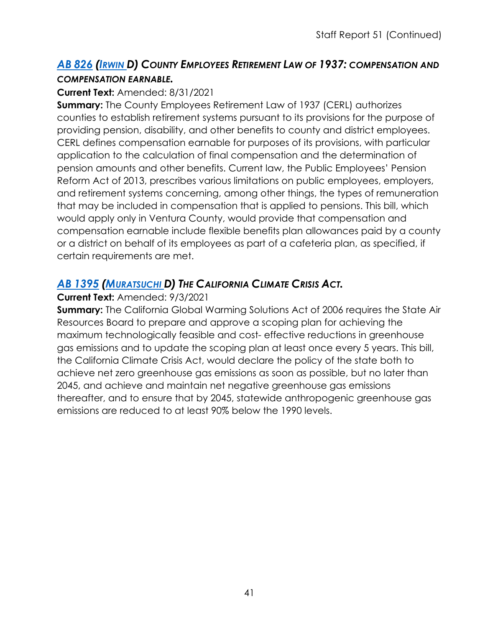## *AB 826 [\(IRWIN D](https://a44.asmdc.org/)) COUNTY EMPLOYEES RETIREMENT LAW OF 1937: COMPENSATION AND [COMPEN](https://ctweb.capitoltrack.com/public/publishbillinfo.aspx?bi=EbO3k7FGmsZjJ7iThB9bUN82US4vZlnCGgNnQjuxMuvgwPGswArrcOtxgoFvKVZ3)SATION EARNABLE.*

#### **Current Text:** Amended: 8/31/2021

**Summary:** The County Employees Retirement Law of 1937 (CERL) authorizes counties to establish retirement systems pursuant to its provisions for the purpose of providing pension, disability, and other benefits to county and district employees. CERL defines compensation earnable for purposes of its provisions, with particular application to the calculation of final compensation and the determination of pension amounts and other benefits. Current law, the Public Employees' Pension Reform Act of 2013, prescribes various limitations on public employees, employers, and retirement systems concerning, among other things, the types of remuneration that may be included in compensation that is applied to pensions. This bill, which would apply only in Ventura County, would provide that compensation and compensation earnable include flexible benefits plan allowances paid by a county or a district on behalf of its employees as part of a cafeteria plan, as specified, if certain requirements are met.

## *AB [1395](https://ctweb.capitoltrack.com/public/publishbillinfo.aspx?bi=MkvH%2BboJJyf8ZwyFZAjS7TXBdkF59MeWpDBaQLmza5tg0INctBAvHEicqJPZ%2BqEp) [\(MURATSUCHI D](https://a66.asmdc.org/)) THE CALIFORNIA CLIMATE CRISIS ACT.*

#### **Current Text:** Amended: 9/3/2021

**Summary:** The California Global Warming Solutions Act of 2006 requires the State Air Resources Board to prepare and approve a scoping plan for achieving the maximum technologically feasible and cost- effective reductions in greenhouse gas emissions and to update the scoping plan at least once every 5 years. This bill, the California Climate Crisis Act, would declare the policy of the state both to achieve net zero greenhouse gas emissions as soon as possible, but no later than 2045, and achieve and maintain net negative greenhouse gas emissions thereafter, and to ensure that by 2045, statewide anthropogenic greenhouse gas emissions are reduced to at least 90% below the 1990 levels.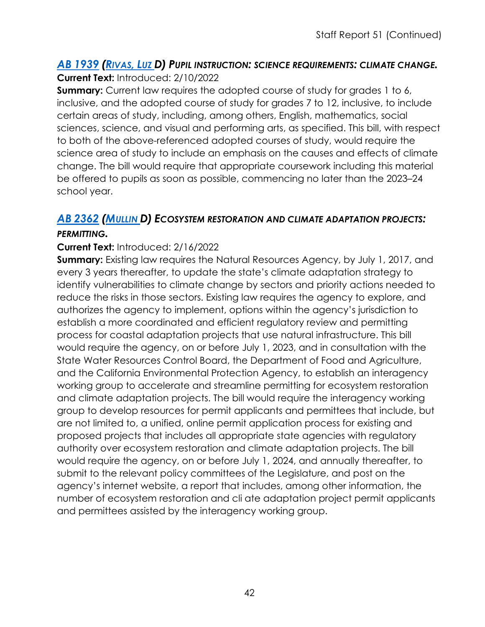#### *AB [1939](https://ctweb.capitoltrack.com/public/publishbillinfo.aspx?bi=3%2BScBDEvi0UbAF%2FVAMiYNdes3F7UU8s5lkzaQtWVCqhLIDGyxYvV69k5ZSL%2FBcjC) [\(RIVAS,](https://a39.asmdc.org/) LUZ D) PUPIL INSTRUCTION: SCIENCE REQUIREMENTS: CLIMATE CHANGE.* **Current Text:** Introduced: 2/10/2022

**Summary:** Current law requires the adopted course of study for grades 1 to 6, inclusive, and the adopted course of study for grades 7 to 12, inclusive, to include certain areas of study, including, among others, English, mathematics, social sciences, science, and visual and performing arts, as specified. This bill, with respect to both of the above-referenced adopted courses of study, would require the science area of study to include an emphasis on the causes and effects of climate change. The bill would require that appropriate coursework including this material be offered to pupils as soon as possible, commencing no later than the 2023–24 school year.

## *AB [2362](https://ctweb.capitoltrack.com/public/publishbillinfo.aspx?bi=fX%2BMZU6ZOocwSiJVgLXQFgoxFttNqH8sW0GCO1ww%2FPvsD9AimBAh3eJXFF7LNRls) [\(MULLIN D](https://a22.asmdc.org/)) ECOSYSTEM RESTORATION AND CLIMATE ADAPTATION PROJECTS:*

#### *PERMITTING.*

#### **Current Text:** Introduced: 2/16/2022

**Summary:** Existing law requires the Natural Resources Agency, by July 1, 2017, and every 3 years thereafter, to update the state's climate adaptation strategy to identify vulnerabilities to climate change by sectors and priority actions needed to reduce the risks in those sectors. Existing law requires the agency to explore, and authorizes the agency to implement, options within the agency's jurisdiction to establish a more coordinated and efficient regulatory review and permitting process for coastal adaptation projects that use natural infrastructure. This bill would require the agency, on or before July 1, 2023, and in consultation with the State Water Resources Control Board, the Department of Food and Agriculture, and the California Environmental Protection Agency, to establish an interagency working group to accelerate and streamline permitting for ecosystem restoration and climate adaptation projects. The bill would require the interagency working group to develop resources for permit applicants and permittees that include, but are not limited to, a unified, online permit application process for existing and proposed projects that includes all appropriate state agencies with regulatory authority over ecosystem restoration and climate adaptation projects. The bill would require the agency, on or before July 1, 2024, and annually thereafter, to submit to the relevant policy committees of the Legislature, and post on the agency's internet website, a report that includes, among other information, the number of ecosystem restoration and cli ate adaptation project permit applicants and permittees assisted by the interagency working group.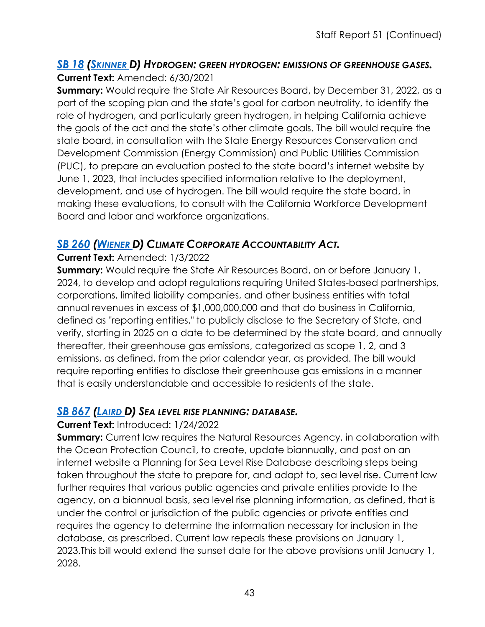#### *SB 18 [\(SKINNER D](http://sd09.senate.ca.gov/)) HYDROGEN: GREEN HYDROGEN: EMISSIONS OF GREENHOUSE GASES.* **[Curren](https://ctweb.capitoltrack.com/public/publishbillinfo.aspx?bi=csBoIyAbf5n%2FHRvp6lu00%2FtoVGz1pf7dilQ81xaG2UA6qs8jOikoApEDqPR23jA4)t Text:** Amended: 6/30/2021

**Summary:** Would require the State Air Resources Board, by December 31, 2022, as a part of the scoping plan and the state's goal for carbon neutrality, to identify the role of hydrogen, and particularly green hydrogen, in helping California achieve the goals of the act and the state's other climate goals. The bill would require the state board, in consultation with the State Energy Resources Conservation and Development Commission (Energy Commission) and Public Utilities Commission (PUC), to prepare an evaluation posted to the state board's internet website by June 1, 2023, that includes specified information relative to the deployment, development, and use of hydrogen. The bill would require the state board, in making these evaluations, to consult with the California Workforce Development Board and labor and workforce organizations.

## *SB [260](https://ctweb.capitoltrack.com/public/publishbillinfo.aspx?bi=totUqCCNn7b7%2FXVhYCr1vxCd80HQywozdstxMfNuGQaehZb%2BPjk1AZXfiNQ2yGD7) [\(WIENER D](http://sd11.senate.ca.gov/)) CLIMATE CORPORATE ACCOUNTABILITY ACT.*

#### **Current Text:** Amended: 1/3/2022

**Summary:** Would require the State Air Resources Board, on or before January 1, 2024, to develop and adopt regulations requiring United States-based partnerships, corporations, limited liability companies, and other business entities with total annual revenues in excess of \$1,000,000,000 and that do business in California, defined as "reporting entities," to publicly disclose to the Secretary of State, and verify, starting in 2025 on a date to be determined by the state board, and annually thereafter, their greenhouse gas emissions, categorized as scope 1, 2, and 3 emissions, as defined, from the prior calendar year, as provided. The bill would require reporting entities to disclose their greenhouse gas emissions in a manner that is easily understandable and accessible to residents of the state.

#### *SB [867](https://ctweb.capitoltrack.com/public/publishbillinfo.aspx?bi=jd4Sjq3DeFqrnETK9J%2FTpoMr4xATHaHBDFmWLcfnLta7I%2B%2FFcln6C3mirOyVKAy7) [\(LAIRD D](http://sd17.senate.ca.gov/)) SEA LEVEL RISE PLANNING: DATABASE.*

#### **Current Text:** Introduced: 1/24/2022

**Summary:** Current law requires the Natural Resources Agency, in collaboration with the Ocean Protection Council, to create, update biannually, and post on an internet website a Planning for Sea Level Rise Database describing steps being taken throughout the state to prepare for, and adapt to, sea level rise. Current law further requires that various public agencies and private entities provide to the agency, on a biannual basis, sea level rise planning information, as defined, that is under the control or jurisdiction of the public agencies or private entities and requires the agency to determine the information necessary for inclusion in the database, as prescribed. Current law repeals these provisions on January 1, 2023.This bill would extend the sunset date for the above provisions until January 1, 2028.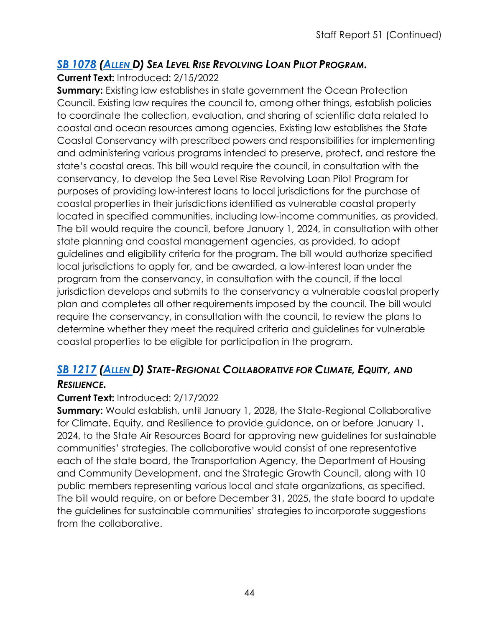## *SB [1078](https://ctweb.capitoltrack.com/public/publishbillinfo.aspx?bi=MT1cd9zDH%2BcNd%2B3eumSBzb4J9QEY4EiCH8cy9k5hXn28gyiRmDugt9FENtqZGiAP) [\(ALLEN D](http://sd26.senate.ca.gov/)) SEA LEVEL RISE REVOLVING LOAN PILOT PROGRAM.*

#### **Current Text:** Introduced: 2/15/2022

**Summary:** Existing law establishes in state government the Ocean Protection Council. Existing law requires the council to, among other things, establish policies to coordinate the collection, evaluation, and sharing of scientific data related to coastal and ocean resources among agencies. Existing law establishes the State Coastal Conservancy with prescribed powers and responsibilities for implementing and administering various programs intended to preserve, protect, and restore the state's coastal areas. This bill would require the council, in consultation with the conservancy, to develop the Sea Level Rise Revolving Loan Pilot Program for purposes of providing low-interest loans to local jurisdictions for the purchase of coastal properties in their jurisdictions identified as vulnerable coastal property located in specified communities, including low-income communities, as provided. The bill would require the council, before January 1, 2024, in consultation with other state planning and coastal management agencies, as provided, to adopt guidelines and eligibility criteria for the program. The bill would authorize specified local jurisdictions to apply for, and be awarded, a low-interest loan under the program from the conservancy, in consultation with the council, if the local jurisdiction develops and submits to the conservancy a vulnerable coastal property plan and completes all other requirements imposed by the council. The bill would require the conservancy, in consultation with the council, to review the plans to determine whether they meet the required criteria and guidelines for vulnerable coastal properties to be eligible for participation in the program.

## *SB [1217](https://ctweb.capitoltrack.com/public/publishbillinfo.aspx?bi=32Lgok%2F07fa59P3rVqpRkT7l%2Be%2FFIrRs1dzCYMdgTaQY6QVw%2BpPbI5WJTSuLGeqO) [\(ALLEN D](http://sd26.senate.ca.gov/)) STATE-REGIONAL COLLABORATIVE FOR CLIMATE, EQUITY, AND RESILIENCE.*

#### **Current Text:** Introduced: 2/17/2022

**Summary:** Would establish, until January 1, 2028, the State-Regional Collaborative for Climate, Equity, and Resilience to provide guidance, on or before January 1, 2024, to the State Air Resources Board for approving new guidelines for sustainable communities' strategies. The collaborative would consist of one representative each of the state board, the Transportation Agency, the Department of Housing and Community Development, and the Strategic Growth Council, along with 10 public members representing various local and state organizations, as specified. The bill would require, on or before December 31, 2025, the state board to update the guidelines for sustainable communities' strategies to incorporate suggestions from the collaborative.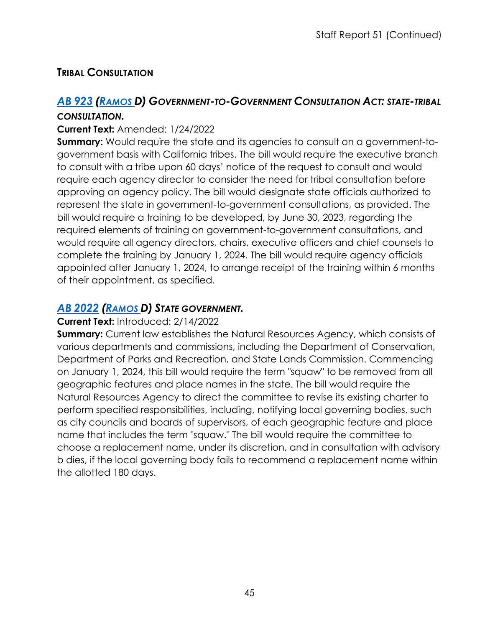## **TRIBAL CONSULTATION**

## *AB [923](https://ctweb.capitoltrack.com/public/publishbillinfo.aspx?bi=JUINoqm2Wdv1m6ypOSSPLXTSLmNPXiGgl%2BHNH0Iq1fxpn8VM1QsAjWioQJiGHIVO) [\(RAMOS D](https://a40.asmdc.org/)) GOVERNMENT-TO-GOVERNMENT CONSULTATION ACT: STATE-TRIBAL*

#### *CONSULTATION.*

#### **Current Text:** Amended: 1/24/2022

**Summary:** Would require the state and its agencies to consult on a government-togovernment basis with California tribes. The bill would require the executive branch to consult with a tribe upon 60 days' notice of the request to consult and would require each agency director to consider the need for tribal consultation before approving an agency policy. The bill would designate state officials authorized to represent the state in government-to-government consultations, as provided. The bill would require a training to be developed, by June 30, 2023, regarding the required elements of training on government-to-government consultations, and would require all agency directors, chairs, executive officers and chief counsels to complete the training by January 1, 2024. The bill would require agency officials appointed after January 1, 2024, to arrange receipt of the training within 6 months of their appointment, as specified.

## *AB [2022](https://ctweb.capitoltrack.com/public/publishbillinfo.aspx?bi=QMNkTuGmKTtEpyvJ%2B9DVyYexKo2ElShJR9a5TuM8Ta%2FVcnUEwTqaj3DvKAaT7gyH) [\(RAMOS D](https://a40.asmdc.org/)) STATE GOVERNMENT.*

#### **Current Text:** Introduced: 2/14/2022

**Summary:** Current law establishes the Natural Resources Agency, which consists of various departments and commissions, including the Department of Conservation, Department of Parks and Recreation, and State Lands Commission. Commencing on January 1, 2024, this bill would require the term "squaw" to be removed from all geographic features and place names in the state. The bill would require the Natural Resources Agency to direct the committee to revise its existing charter to perform specified responsibilities, including, notifying local governing bodies, such as city councils and boards of supervisors, of each geographic feature and place name that includes the term "squaw." The bill would require the committee to choose a replacement name, under its discretion, and in consultation with advisory b dies, if the local governing body fails to recommend a replacement name within the allotted 180 days.